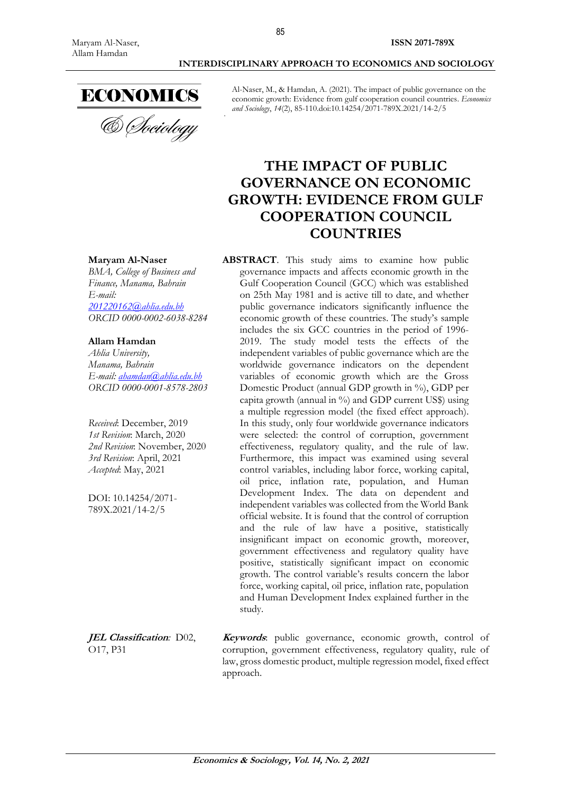

**Maryam Al-Naser** 

**Allam Hamdan** *Ahlia University, Manama, Bahrain*

*E-mail:*

*BMA, College of Business and Finance, Manama, Bahrain*

*201220162@ahlia.edu.bh ORCID 0000-0002-6038-8284*

*E-mail: [ahamdan@ahlia.edu.bh](mailto:ahamdan@ahlia.edu.bh) ORCID 0000-0001-8578-2803*

*Received*: December, 2019 *1st Revision*: March, 2020 *2nd Revision*: November, 2020 *3rd Revision*: April, 2021 *Accepted*: May, 2021

DOI: 10.14254/2071- 789X.2021/14-2/5

& *Cheiology* 

Al-Naser, M., & Hamdan, A. (2021). The impact of public governance on the economic growth: Evidence from gulf cooperation council countries. *Economics and Sociology*, *14*(2), 85-110.doi:10.14254/2071-789X.2021/14-2/5

# **THE IMPACT OF PUBLIC GOVERNANCE ON ECONOMIC GROWTH: EVIDENCE FROM GULF COOPERATION COUNCIL COUNTRIES**

#### **ABSTRACT**. This study aims to examine how public governance impacts and affects economic growth in the Gulf Cooperation Council (GCC) which was established on 25th May 1981 and is active till to date, and whether public governance indicators significantly influence the economic growth of these countries. The study's sample includes the six GCC countries in the period of 1996- 2019. The study model tests the effects of the independent variables of public governance which are the worldwide governance indicators on the dependent variables of economic growth which are the Gross Domestic Product (annual GDP growth in %), GDP per capita growth (annual in %) and GDP current US\$) using a multiple regression model (the fixed effect approach). In this study, only four worldwide governance indicators were selected: the control of corruption, government effectiveness, regulatory quality, and the rule of law. Furthermore, this impact was examined using several control variables, including labor force, working capital, oil price, inflation rate, population, and Human Development Index. The data on dependent and independent variables was collected from the World Bank official website. It is found that the control of corruption and the rule of law have a positive, statistically insignificant impact on economic growth, moreover, government effectiveness and regulatory quality have positive, statistically significant impact on economic growth. The control variable's results concern the labor force, working capital, oil price, inflation rate, population and Human Development Index explained further in the study.

**JEL Classification***:* D02, O17, P31 **Keywords**: public governance, economic growth, control of corruption, government effectiveness, regulatory quality, rule of law, gross domestic product, multiple regression model, fixed effect approach.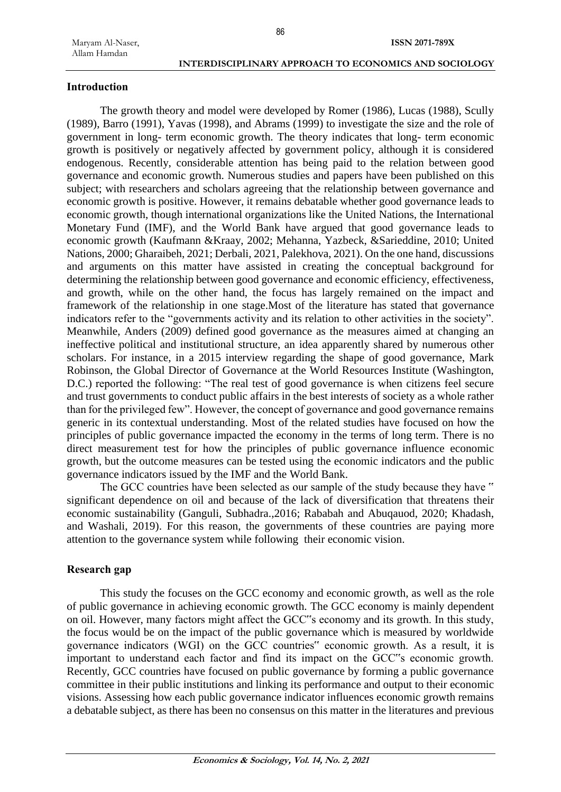#### **Introduction**

The growth theory and model were developed by Romer (1986), Lucas (1988), Scully (1989), Barro (1991), Yavas (1998), and Abrams (1999) to investigate the size and the role of government in long- term economic growth. The theory indicates that long- term economic growth is positively or negatively affected by government policy, although it is considered endogenous. Recently, considerable attention has being paid to the relation between good governance and economic growth. Numerous studies and papers have been published on this subject; with researchers and scholars agreeing that the relationship between governance and economic growth is positive. However, it remains debatable whether good governance leads to economic growth, though international organizations like the United Nations, the International Monetary Fund (IMF), and the World Bank have argued that good governance leads to economic growth (Kaufmann &Kraay, 2002; Mehanna, Yazbeck, &Sarieddine, 2010; United Nations, 2000; Gharaibeh, 2021; Derbali, 2021, Palekhova, 2021). On the one hand, discussions and arguments on this matter have assisted in creating the conceptual background for determining the relationship between good governance and economic efficiency, effectiveness, and growth, while on the other hand, the focus has largely remained on the impact and framework of the relationship in one stage.Most of the literature has stated that governance indicators refer to the "governments activity and its relation to other activities in the society". Meanwhile, Anders (2009) defined good governance as the measures aimed at changing an ineffective political and institutional structure, an idea apparently shared by numerous other scholars. For instance, in a 2015 interview regarding the shape of good governance, Mark Robinson, the Global Director of Governance at the World Resources Institute (Washington, D.C.) reported the following: "The real test of good governance is when citizens feel secure and trust governments to conduct public affairs in the best interests of society as a whole rather than for the privileged few". However, the concept of governance and good governance remains generic in its contextual understanding. Most of the related studies have focused on how the principles of public governance impacted the economy in the terms of long term. There is no direct measurement test for how the principles of public governance influence economic growth, but the outcome measures can be tested using the economic indicators and the public governance indicators issued by the IMF and the World Bank.

The GCC countries have been selected as our sample of the study because they have " significant dependence on oil and because of the lack of diversification that threatens their economic sustainability (Ganguli, Subhadra.,2016; Rababah and Abuqauod, 2020; Khadash, and Washali, 2019). For this reason, the governments of these countries are paying more attention to the governance system while following their economic vision.

#### **Research gap**

This study the focuses on the GCC economy and economic growth, as well as the role of public governance in achieving economic growth. The GCC economy is mainly dependent on oil. However, many factors might affect the GCC"s economy and its growth. In this study, the focus would be on the impact of the public governance which is measured by worldwide governance indicators (WGI) on the GCC countries" economic growth. As a result, it is important to understand each factor and find its impact on the GCC"s economic growth. Recently, GCC countries have focused on public governance by forming a public governance committee in their public institutions and linking its performance and output to their economic visions. Assessing how each public governance indicator influences economic growth remains a debatable subject, as there has been no consensus on this matter in the literatures and previous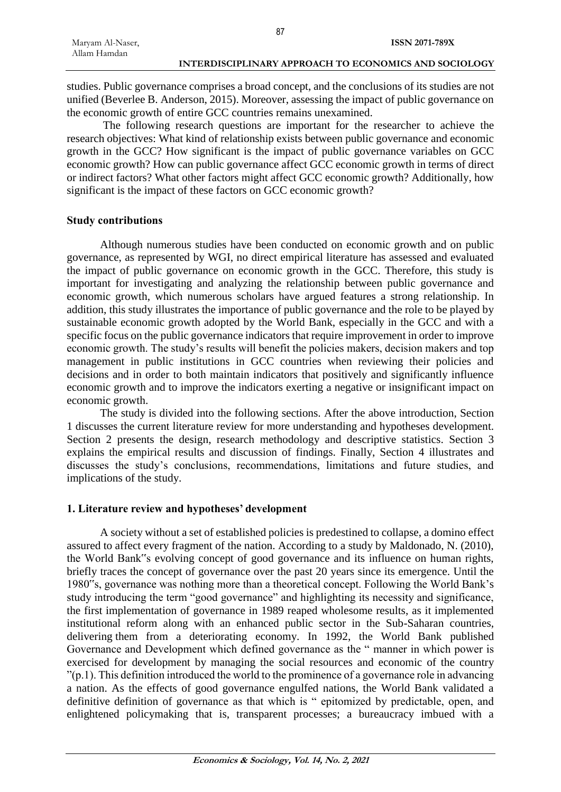studies. Public governance comprises a broad concept, and the conclusions of its studies are not unified (Beverlee B. Anderson, 2015). Moreover, assessing the impact of public governance on the economic growth of entire GCC countries remains unexamined.

87

The following research questions are important for the researcher to achieve the research objectives: What kind of relationship exists between public governance and economic growth in the GCC? How significant is the impact of public governance variables on GCC economic growth? How can public governance affect GCC economic growth in terms of direct or indirect factors? What other factors might affect GCC economic growth? Additionally, how significant is the impact of these factors on GCC economic growth?

### **Study contributions**

Although numerous studies have been conducted on economic growth and on public governance, as represented by WGI, no direct empirical literature has assessed and evaluated the impact of public governance on economic growth in the GCC. Therefore, this study is important for investigating and analyzing the relationship between public governance and economic growth, which numerous scholars have argued features a strong relationship. In addition, this study illustrates the importance of public governance and the role to be played by sustainable economic growth adopted by the World Bank, especially in the GCC and with a specific focus on the public governance indicators that require improvement in order to improve economic growth. The study's results will benefit the policies makers, decision makers and top management in public institutions in GCC countries when reviewing their policies and decisions and in order to both maintain indicators that positively and significantly influence economic growth and to improve the indicators exerting a negative or insignificant impact on economic growth.

The study is divided into the following sections. After the above introduction, Section 1 discusses the current literature review for more understanding and hypotheses development. Section 2 presents the design, research methodology and descriptive statistics. Section 3 explains the empirical results and discussion of findings. Finally, Section 4 illustrates and discusses the study's conclusions, recommendations, limitations and future studies, and implications of the study.

# **1. Literature review and hypotheses' development**

A society without a set of established policies is predestined to collapse, a domino effect assured to affect every fragment of the nation. According to a study by Maldonado, N. (2010), the World Bank"s evolving concept of good governance and its influence on human rights, briefly traces the concept of governance over the past 20 years since its emergence. Until the 1980"s, governance was nothing more than a theoretical concept. Following the World Bank's study introducing the term "good governance" and highlighting its necessity and significance, the first implementation of governance in 1989 reaped wholesome results, as it implemented institutional reform along with an enhanced public sector in the Sub-Saharan countries, delivering them from a deteriorating economy. In 1992, the World Bank published Governance and Development which defined governance as the " manner in which power is exercised for development by managing the social resources and economic of the country  $\gamma$ (p.1). This definition introduced the world to the prominence of a governance role in advancing a nation. As the effects of good governance engulfed nations, the World Bank validated a definitive definition of governance as that which is " epitomized by predictable, open, and enlightened policymaking that is, transparent processes; a bureaucracy imbued with a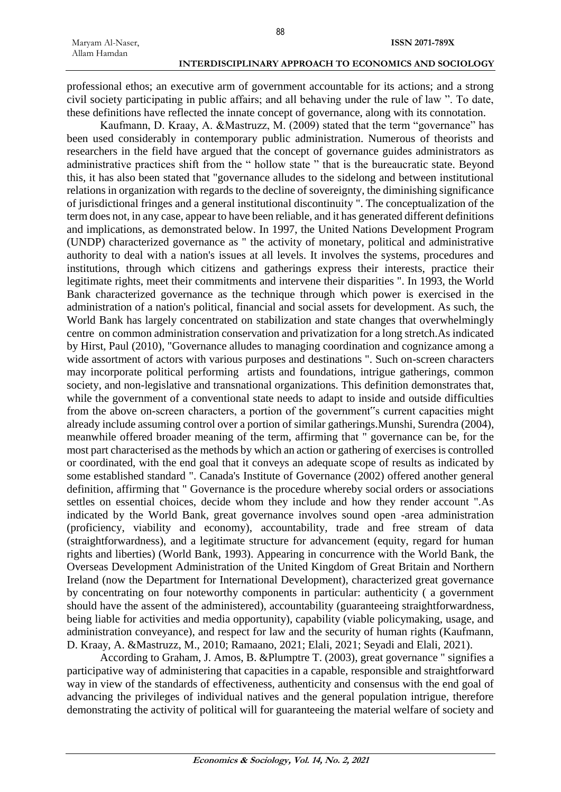professional ethos; an executive arm of government accountable for its actions; and a strong civil society participating in public affairs; and all behaving under the rule of law ". To date, these definitions have reflected the innate concept of governance, along with its connotation.

Kaufmann, D. Kraay, A. &Mastruzz, M. (2009) stated that the term "governance" has been used considerably in contemporary public administration. Numerous of theorists and researchers in the field have argued that the concept of governance guides administrators as administrative practices shift from the " hollow state " that is the bureaucratic state. Beyond this, it has also been stated that "governance alludes to the sidelong and between institutional relations in organization with regards to the decline of sovereignty, the diminishing significance of jurisdictional fringes and a general institutional discontinuity ". The conceptualization of the term does not, in any case, appear to have been reliable, and it has generated different definitions and implications, as demonstrated below. In 1997, the United Nations Development Program (UNDP) characterized governance as " the activity of monetary, political and administrative authority to deal with a nation's issues at all levels. It involves the systems, procedures and institutions, through which citizens and gatherings express their interests, practice their legitimate rights, meet their commitments and intervene their disparities ". In 1993, the World Bank characterized governance as the technique through which power is exercised in the administration of a nation's political, financial and social assets for development. As such, the World Bank has largely concentrated on stabilization and state changes that overwhelmingly centre on common administration conservation and privatization for a long stretch.As indicated by Hirst, Paul (2010), "Governance alludes to managing coordination and cognizance among a wide assortment of actors with various purposes and destinations ". Such on-screen characters may incorporate political performing artists and foundations, intrigue gatherings, common society, and non-legislative and transnational organizations. This definition demonstrates that, while the government of a conventional state needs to adapt to inside and outside difficulties from the above on-screen characters, a portion of the government"s current capacities might already include assuming control over a portion of similar gatherings.Munshi, Surendra (2004), meanwhile offered broader meaning of the term, affirming that " governance can be, for the most part characterised as the methods by which an action or gathering of exercises is controlled or coordinated, with the end goal that it conveys an adequate scope of results as indicated by some established standard ". Canada's Institute of Governance (2002) offered another general definition, affirming that " Governance is the procedure whereby social orders or associations settles on essential choices, decide whom they include and how they render account ".As indicated by the World Bank, great governance involves sound open -area administration (proficiency, viability and economy), accountability, trade and free stream of data (straightforwardness), and a legitimate structure for advancement (equity, regard for human rights and liberties) (World Bank, 1993). Appearing in concurrence with the World Bank, the Overseas Development Administration of the United Kingdom of Great Britain and Northern Ireland (now the Department for International Development), characterized great governance by concentrating on four noteworthy components in particular: authenticity ( a government should have the assent of the administered), accountability (guaranteeing straightforwardness, being liable for activities and media opportunity), capability (viable policymaking, usage, and administration conveyance), and respect for law and the security of human rights (Kaufmann, D. Kraay, A. &Mastruzz, M., 2010; Ramaano, 2021; Elali, 2021; Seyadi and Elali, 2021).

According to Graham, J. Amos, B. &Plumptre T. (2003), great governance " signifies a participative way of administering that capacities in a capable, responsible and straightforward way in view of the standards of effectiveness, authenticity and consensus with the end goal of advancing the privileges of individual natives and the general population intrigue, therefore demonstrating the activity of political will for guaranteeing the material welfare of society and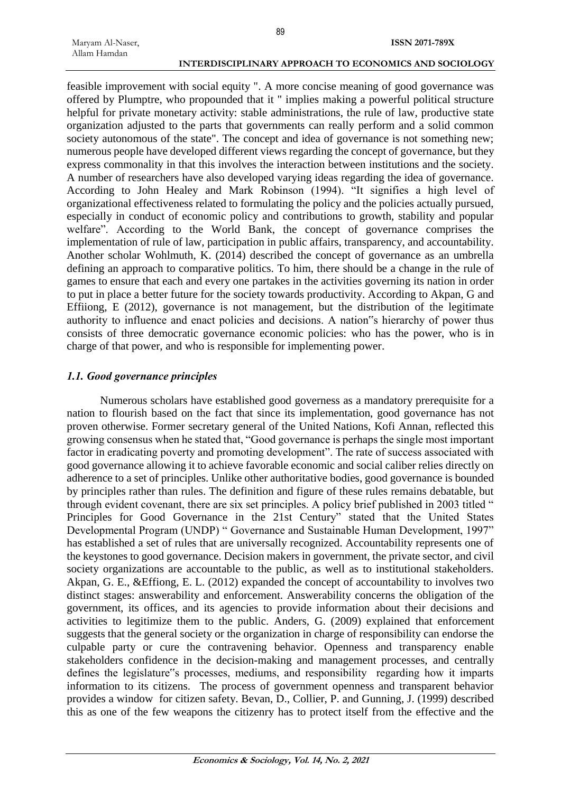feasible improvement with social equity ". A more concise meaning of good governance was offered by Plumptre, who propounded that it " implies making a powerful political structure helpful for private monetary activity: stable administrations, the rule of law, productive state organization adjusted to the parts that governments can really perform and a solid common society autonomous of the state". The concept and idea of governance is not something new; numerous people have developed different views regarding the concept of governance, but they express commonality in that this involves the interaction between institutions and the society. A number of researchers have also developed varying ideas regarding the idea of governance. According to John Healey and Mark Robinson (1994). "It signifies a high level of organizational effectiveness related to formulating the policy and the policies actually pursued, especially in conduct of economic policy and contributions to growth, stability and popular welfare". According to the World Bank, the concept of governance comprises the implementation of rule of law, participation in public affairs, transparency, and accountability. Another scholar Wohlmuth, K. (2014) described the concept of governance as an umbrella defining an approach to comparative politics. To him, there should be a change in the rule of games to ensure that each and every one partakes in the activities governing its nation in order to put in place a better future for the society towards productivity. According to Akpan, G and Effiiong, E (2012), governance is not management, but the distribution of the legitimate authority to influence and enact policies and decisions. A nation"s hierarchy of power thus consists of three democratic governance economic policies: who has the power, who is in charge of that power, and who is responsible for implementing power.

#### *1.1. Good governance principles*

Numerous scholars have established good governess as a mandatory prerequisite for a nation to flourish based on the fact that since its implementation, good governance has not proven otherwise. Former secretary general of the United Nations, Kofi Annan, reflected this growing consensus when he stated that, "Good governance is perhaps the single most important factor in eradicating poverty and promoting development". The rate of success associated with good governance allowing it to achieve favorable economic and social caliber relies directly on adherence to a set of principles. Unlike other authoritative bodies, good governance is bounded by principles rather than rules. The definition and figure of these rules remains debatable, but through evident covenant, there are six set principles. A policy brief published in 2003 titled " Principles for Good Governance in the 21st Century" stated that the United States Developmental Program (UNDP) " Governance and Sustainable Human Development, 1997" has established a set of rules that are universally recognized. Accountability represents one of the keystones to good governance. Decision makers in government, the private sector, and civil society organizations are accountable to the public, as well as to institutional stakeholders. Akpan, G. E., &Effiong, E. L. (2012) expanded the concept of accountability to involves two distinct stages: answerability and enforcement. Answerability concerns the obligation of the government, its offices, and its agencies to provide information about their decisions and activities to legitimize them to the public. Anders, G. (2009) explained that enforcement suggests that the general society or the organization in charge of responsibility can endorse the culpable party or cure the contravening behavior. Openness and transparency enable stakeholders confidence in the decision-making and management processes, and centrally defines the legislature"s processes, mediums, and responsibility regarding how it imparts information to its citizens. The process of government openness and transparent behavior provides a window for citizen safety. Bevan, D., Collier, P. and Gunning, J. (1999) described this as one of the few weapons the citizenry has to protect itself from the effective and the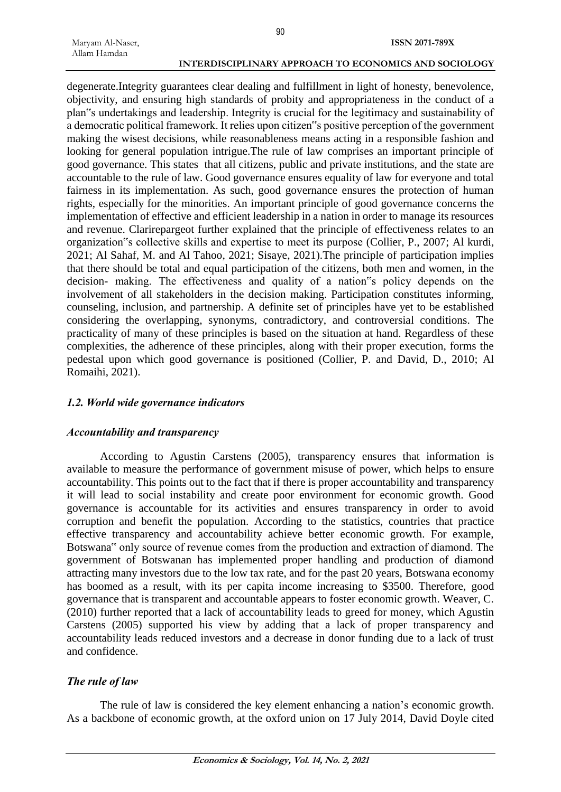degenerate.Integrity guarantees clear dealing and fulfillment in light of honesty, benevolence, objectivity, and ensuring high standards of probity and appropriateness in the conduct of a plan"s undertakings and leadership. Integrity is crucial for the legitimacy and sustainability of a democratic political framework. It relies upon citizen"s positive perception of the government making the wisest decisions, while reasonableness means acting in a responsible fashion and looking for general population intrigue.The rule of law comprises an important principle of good governance. This states that all citizens, public and private institutions, and the state are accountable to the rule of law. Good governance ensures equality of law for everyone and total fairness in its implementation. As such, good governance ensures the protection of human rights, especially for the minorities. An important principle of good governance concerns the implementation of effective and efficient leadership in a nation in order to manage its resources and revenue. Clarirepargeot further explained that the principle of effectiveness relates to an organization"s collective skills and expertise to meet its purpose (Collier, P., 2007; Al kurdi, 2021; Al Sahaf, M. and Al Tahoo, 2021; Sisaye, 2021).The principle of participation implies that there should be total and equal participation of the citizens, both men and women, in the decision- making. The effectiveness and quality of a nation"s policy depends on the involvement of all stakeholders in the decision making. Participation constitutes informing, counseling, inclusion, and partnership. A definite set of principles have yet to be established considering the overlapping, synonyms, contradictory, and controversial conditions. The practicality of many of these principles is based on the situation at hand. Regardless of these complexities, the adherence of these principles, along with their proper execution, forms the pedestal upon which good governance is positioned (Collier, P. and David, D., 2010; Al Romaihi, 2021).

#### *1.2. World wide governance indicators*

#### *Accountability and transparency*

According to Agustin Carstens (2005), transparency ensures that information is available to measure the performance of government misuse of power, which helps to ensure accountability. This points out to the fact that if there is proper accountability and transparency it will lead to social instability and create poor environment for economic growth. Good governance is accountable for its activities and ensures transparency in order to avoid corruption and benefit the population. According to the statistics, countries that practice effective transparency and accountability achieve better economic growth. For example, Botswana" only source of revenue comes from the production and extraction of diamond. The government of Botswanan has implemented proper handling and production of diamond attracting many investors due to the low tax rate, and for the past 20 years, Botswana economy has boomed as a result, with its per capita income increasing to \$3500. Therefore, good governance that is transparent and accountable appears to foster economic growth. Weaver, C. (2010) further reported that a lack of accountability leads to greed for money, which Agustin Carstens (2005) supported his view by adding that a lack of proper transparency and accountability leads reduced investors and a decrease in donor funding due to a lack of trust and confidence.

#### *The rule of law*

The rule of law is considered the key element enhancing a nation's economic growth. As a backbone of economic growth, at the oxford union on 17 July 2014, David Doyle cited

90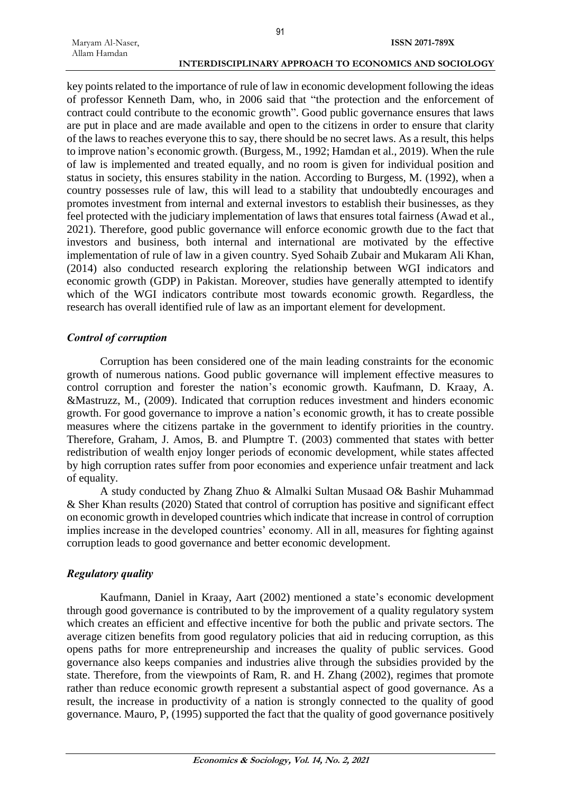key points related to the importance of rule of law in economic development following the ideas of professor Kenneth Dam, who, in 2006 said that "the protection and the enforcement of contract could contribute to the economic growth". Good public governance ensures that laws are put in place and are made available and open to the citizens in order to ensure that clarity of the laws to reaches everyone this to say, there should be no secret laws. As a result, this helps to improve nation's economic growth. (Burgess, M., 1992; Hamdan et al., 2019). When the rule of law is implemented and treated equally, and no room is given for individual position and status in society, this ensures stability in the nation. According to Burgess, M. (1992), when a country possesses rule of law, this will lead to a stability that undoubtedly encourages and promotes investment from internal and external investors to establish their businesses, as they feel protected with the judiciary implementation of laws that ensures total fairness (Awad et al., 2021). Therefore, good public governance will enforce economic growth due to the fact that investors and business, both internal and international are motivated by the effective implementation of rule of law in a given country. Syed Sohaib Zubair and Mukaram Ali Khan, (2014) also conducted research exploring the relationship between WGI indicators and economic growth (GDP) in Pakistan. Moreover, studies have generally attempted to identify which of the WGI indicators contribute most towards economic growth. Regardless, the research has overall identified rule of law as an important element for development.

#### *Control of corruption*

Corruption has been considered one of the main leading constraints for the economic growth of numerous nations. Good public governance will implement effective measures to control corruption and forester the nation's economic growth. Kaufmann, D. Kraay, A. &Mastruzz, M., (2009). Indicated that corruption reduces investment and hinders economic growth. For good governance to improve a nation's economic growth, it has to create possible measures where the citizens partake in the government to identify priorities in the country. Therefore, Graham, J. Amos, B. and Plumptre T. (2003) commented that states with better redistribution of wealth enjoy longer periods of economic development, while states affected by high corruption rates suffer from poor economies and experience unfair treatment and lack of equality.

A study conducted by Zhang Zhuo & Almalki Sultan Musaad O& Bashir Muhammad & Sher Khan results (2020) Stated that control of corruption has positive and significant effect on economic growth in developed countries which indicate that increase in control of corruption implies increase in the developed countries' economy. All in all, measures for fighting against corruption leads to good governance and better economic development.

#### *Regulatory quality*

Kaufmann, Daniel in Kraay, Aart (2002) mentioned a state's economic development through good governance is contributed to by the improvement of a quality regulatory system which creates an efficient and effective incentive for both the public and private sectors. The average citizen benefits from good regulatory policies that aid in reducing corruption, as this opens paths for more entrepreneurship and increases the quality of public services. Good governance also keeps companies and industries alive through the subsidies provided by the state. Therefore, from the viewpoints of Ram, R. and H. Zhang (2002), regimes that promote rather than reduce economic growth represent a substantial aspect of good governance. As a result, the increase in productivity of a nation is strongly connected to the quality of good governance. Mauro, P, (1995) supported the fact that the quality of good governance positively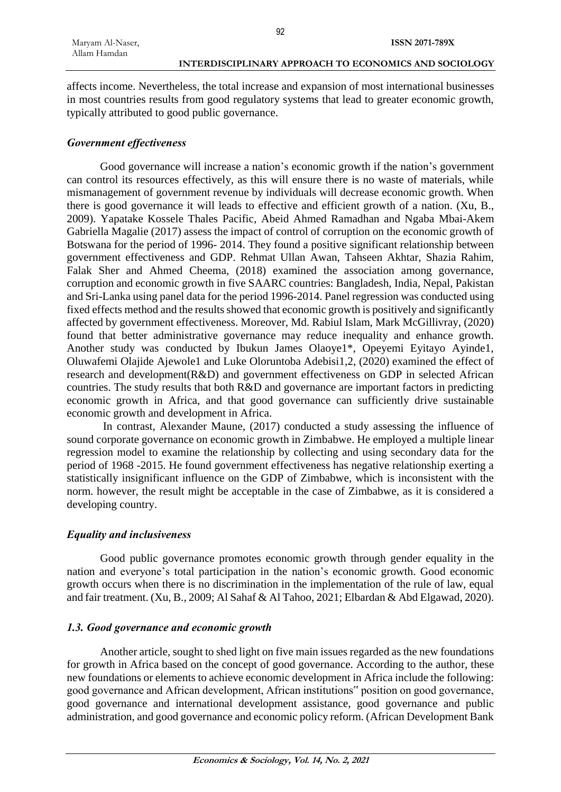affects income. Nevertheless, the total increase and expansion of most international businesses in most countries results from good regulatory systems that lead to greater economic growth, typically attributed to good public governance.

### *Government effectiveness*

Good governance will increase a nation's economic growth if the nation's government can control its resources effectively, as this will ensure there is no waste of materials, while mismanagement of government revenue by individuals will decrease economic growth. When there is good governance it will leads to effective and efficient growth of a nation. (Xu, B., 2009). Yapatake Kossele Thales Pacific, Abeid Ahmed Ramadhan and Ngaba Mbai-Akem Gabriella Magalie (2017) assess the impact of control of corruption on the economic growth of Botswana for the period of 1996- 2014. They found a positive significant relationship between government effectiveness and GDP. Rehmat Ullan Awan, Tahseen Akhtar, Shazia Rahim, Falak Sher and Ahmed Cheema, (2018) examined the association among governance, corruption and economic growth in five SAARC countries: Bangladesh, India, Nepal, Pakistan and Sri-Lanka using panel data for the period 1996-2014. Panel regression was conducted using fixed effects method and the results showed that economic growth is positively and significantly affected by government effectiveness. Moreover, Md. Rabiul Islam, Mark McGillivray, (2020) found that better administrative governance may reduce inequality and enhance growth. Another study was conducted by Ibukun James Olaoye1\*, Opeyemi Eyitayo Ayinde1, Oluwafemi Olajide Ajewole1 and Luke Oloruntoba Adebisi1,2, (2020) examined the effect of research and development(R&D) and government effectiveness on GDP in selected African countries. The study results that both R&D and governance are important factors in predicting economic growth in Africa, and that good governance can sufficiently drive sustainable economic growth and development in Africa.

In contrast, Alexander Maune, (2017) conducted a study assessing the influence of sound corporate governance on economic growth in Zimbabwe. He employed a multiple linear regression model to examine the relationship by collecting and using secondary data for the period of 1968 -2015. He found government effectiveness has negative relationship exerting a statistically insignificant influence on the GDP of Zimbabwe, which is inconsistent with the norm. however, the result might be acceptable in the case of Zimbabwe, as it is considered a developing country.

## *Equality and inclusiveness*

Good public governance promotes economic growth through gender equality in the nation and everyone's total participation in the nation's economic growth. Good economic growth occurs when there is no discrimination in the implementation of the rule of law, equal and fair treatment. (Xu, B., 2009; Al Sahaf & Al Tahoo, 2021; Elbardan & Abd Elgawad, 2020).

## *1.3. Good governance and economic growth*

Another article, sought to shed light on five main issues regarded as the new foundations for growth in Africa based on the concept of good governance. According to the author, these new foundations or elements to achieve economic development in Africa include the following: good governance and African development, African institutions" position on good governance, good governance and international development assistance, good governance and public administration, and good governance and economic policy reform. (African Development Bank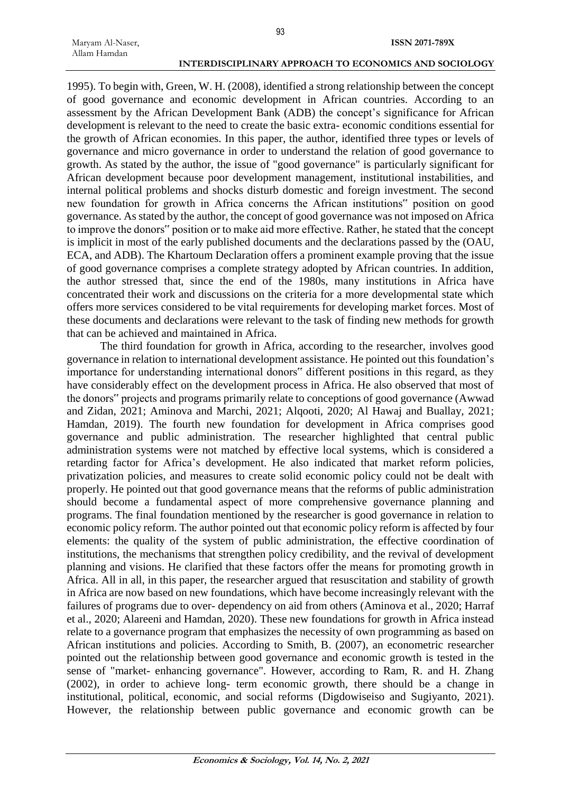1995). To begin with, Green, W. H. (2008), identified a strong relationship between the concept of good governance and economic development in African countries. According to an assessment by the African Development Bank (ADB) the concept's significance for African development is relevant to the need to create the basic extra- economic conditions essential for the growth of African economies. In this paper, the author, identified three types or levels of governance and micro governance in order to understand the relation of good governance to growth. As stated by the author, the issue of "good governance" is particularly significant for African development because poor development management, institutional instabilities, and internal political problems and shocks disturb domestic and foreign investment. The second new foundation for growth in Africa concerns the African institutions" position on good governance. As stated by the author, the concept of good governance was not imposed on Africa to improve the donors" position or to make aid more effective. Rather, he stated that the concept is implicit in most of the early published documents and the declarations passed by the (OAU, ECA, and ADB). The Khartoum Declaration offers a prominent example proving that the issue of good governance comprises a complete strategy adopted by African countries. In addition, the author stressed that, since the end of the 1980s, many institutions in Africa have concentrated their work and discussions on the criteria for a more developmental state which offers more services considered to be vital requirements for developing market forces. Most of these documents and declarations were relevant to the task of finding new methods for growth that can be achieved and maintained in Africa.

The third foundation for growth in Africa, according to the researcher, involves good governance in relation to international development assistance. He pointed out this foundation's importance for understanding international donors" different positions in this regard, as they have considerably effect on the development process in Africa. He also observed that most of the donors" projects and programs primarily relate to conceptions of good governance (Awwad and Zidan, 2021; Aminova and Marchi, 2021; Alqooti, 2020; Al Hawaj and Buallay, 2021; Hamdan, 2019). The fourth new foundation for development in Africa comprises good governance and public administration. The researcher highlighted that central public administration systems were not matched by effective local systems, which is considered a retarding factor for Africa's development. He also indicated that market reform policies, privatization policies, and measures to create solid economic policy could not be dealt with properly. He pointed out that good governance means that the reforms of public administration should become a fundamental aspect of more comprehensive governance planning and programs. The final foundation mentioned by the researcher is good governance in relation to economic policy reform. The author pointed out that economic policy reform is affected by four elements: the quality of the system of public administration, the effective coordination of institutions, the mechanisms that strengthen policy credibility, and the revival of development planning and visions. He clarified that these factors offer the means for promoting growth in Africa. All in all, in this paper, the researcher argued that resuscitation and stability of growth in Africa are now based on new foundations, which have become increasingly relevant with the failures of programs due to over- dependency on aid from others (Aminova et al., 2020; Harraf et al., 2020; Alareeni and Hamdan, 2020). These new foundations for growth in Africa instead relate to a governance program that emphasizes the necessity of own programming as based on African institutions and policies. According to Smith, B. (2007), an econometric researcher pointed out the relationship between good governance and economic growth is tested in the sense of "market- enhancing governance". However, according to Ram, R. and H. Zhang (2002), in order to achieve long- term economic growth, there should be a change in institutional, political, economic, and social reforms (Digdowiseiso and Sugiyanto, 2021). However, the relationship between public governance and economic growth can be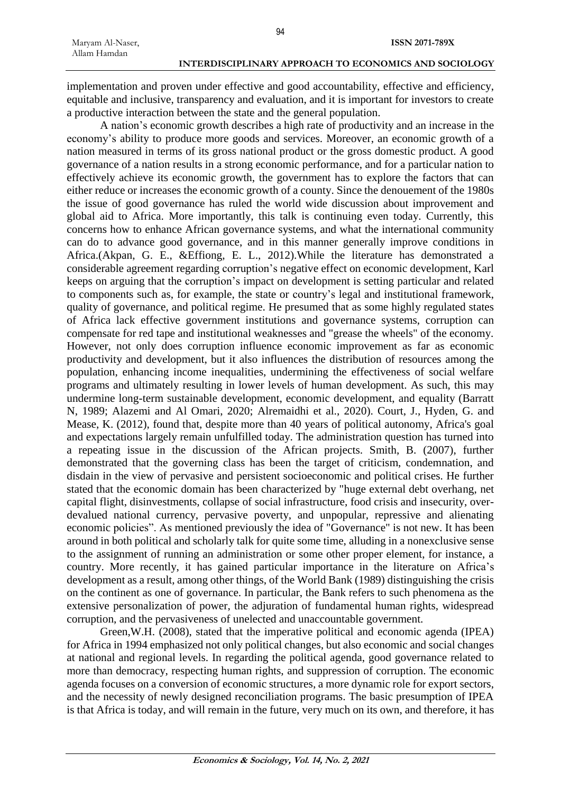implementation and proven under effective and good accountability, effective and efficiency, equitable and inclusive, transparency and evaluation, and it is important for investors to create a productive interaction between the state and the general population.

A nation's economic growth describes a high rate of productivity and an increase in the economy's ability to produce more goods and services. Moreover, an economic growth of a nation measured in terms of its gross national product or the gross domestic product. A good governance of a nation results in a strong economic performance, and for a particular nation to effectively achieve its economic growth, the government has to explore the factors that can either reduce or increases the economic growth of a county. Since the denouement of the 1980s the issue of good governance has ruled the world wide discussion about improvement and global aid to Africa. More importantly, this talk is continuing even today. Currently, this concerns how to enhance African governance systems, and what the international community can do to advance good governance, and in this manner generally improve conditions in Africa.(Akpan, G. E., &Effiong, E. L., 2012).While the literature has demonstrated a considerable agreement regarding corruption's negative effect on economic development, Karl keeps on arguing that the corruption's impact on development is setting particular and related to components such as, for example, the state or country's legal and institutional framework, quality of governance, and political regime. He presumed that as some highly regulated states of Africa lack effective government institutions and governance systems, corruption can compensate for red tape and institutional weaknesses and "grease the wheels" of the economy. However, not only does corruption influence economic improvement as far as economic productivity and development, but it also influences the distribution of resources among the population, enhancing income inequalities, undermining the effectiveness of social welfare programs and ultimately resulting in lower levels of human development. As such, this may undermine long-term sustainable development, economic development, and equality (Barratt N, 1989; Alazemi and Al Omari, 2020; Alremaidhi et al., 2020). Court, J., Hyden, G. and Mease, K. (2012), found that, despite more than 40 years of political autonomy, Africa's goal and expectations largely remain unfulfilled today. The administration question has turned into a repeating issue in the discussion of the African projects. Smith, B. (2007), further demonstrated that the governing class has been the target of criticism, condemnation, and disdain in the view of pervasive and persistent socioeconomic and political crises. He further stated that the economic domain has been characterized by "huge external debt overhang, net capital flight, disinvestments, collapse of social infrastructure, food crisis and insecurity, overdevalued national currency, pervasive poverty, and unpopular, repressive and alienating economic policies". As mentioned previously the idea of "Governance" is not new. It has been around in both political and scholarly talk for quite some time, alluding in a nonexclusive sense to the assignment of running an administration or some other proper element, for instance, a country. More recently, it has gained particular importance in the literature on Africa's development as a result, among other things, of the World Bank (1989) distinguishing the crisis on the continent as one of governance. In particular, the Bank refers to such phenomena as the extensive personalization of power, the adjuration of fundamental human rights, widespread corruption, and the pervasiveness of unelected and unaccountable government.

Green,W.H. (2008), stated that the imperative political and economic agenda (IPEA) for Africa in 1994 emphasized not only political changes, but also economic and social changes at national and regional levels. In regarding the political agenda, good governance related to more than democracy, respecting human rights, and suppression of corruption. The economic agenda focuses on a conversion of economic structures, a more dynamic role for export sectors, and the necessity of newly designed reconciliation programs. The basic presumption of IPEA is that Africa is today, and will remain in the future, very much on its own, and therefore, it has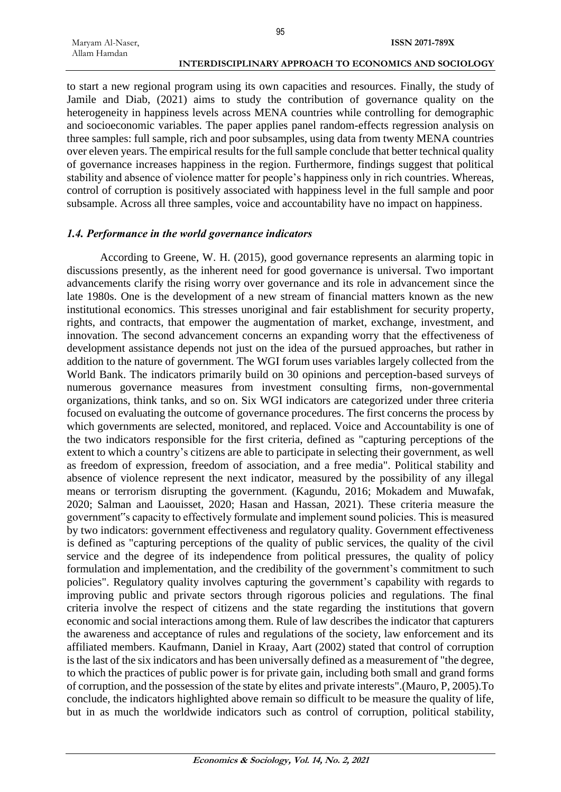to start a new regional program using its own capacities and resources. Finally, the study of Jamile and Diab, (2021) aims to study the contribution of governance quality on the heterogeneity in happiness levels across MENA countries while controlling for demographic and socioeconomic variables. The paper applies panel random-effects regression analysis on three samples: full sample, rich and poor subsamples, using data from twenty MENA countries over eleven years. The empirical results for the full sample conclude that better technical quality of governance increases happiness in the region. Furthermore, findings suggest that political stability and absence of violence matter for people's happiness only in rich countries. Whereas, control of corruption is positively associated with happiness level in the full sample and poor subsample. Across all three samples, voice and accountability have no impact on happiness.

#### *1.4. Performance in the world governance indicators*

According to Greene, W. H. (2015), good governance represents an alarming topic in discussions presently, as the inherent need for good governance is universal. Two important advancements clarify the rising worry over governance and its role in advancement since the late 1980s. One is the development of a new stream of financial matters known as the new institutional economics. This stresses unoriginal and fair establishment for security property, rights, and contracts, that empower the augmentation of market, exchange, investment, and innovation. The second advancement concerns an expanding worry that the effectiveness of development assistance depends not just on the idea of the pursued approaches, but rather in addition to the nature of government. The WGI forum uses variables largely collected from the World Bank. The indicators primarily build on 30 opinions and perception-based surveys of numerous governance measures from investment consulting firms, non-governmental organizations, think tanks, and so on. Six WGI indicators are categorized under three criteria focused on evaluating the outcome of governance procedures. The first concerns the process by which governments are selected, monitored, and replaced. Voice and Accountability is one of the two indicators responsible for the first criteria, defined as "capturing perceptions of the extent to which a country's citizens are able to participate in selecting their government, as well as freedom of expression, freedom of association, and a free media". Political stability and absence of violence represent the next indicator, measured by the possibility of any illegal means or terrorism disrupting the government. (Kagundu, 2016; Mokadem and Muwafak, 2020; Salman and Laouisset, 2020; Hasan and Hassan, 2021). These criteria measure the government"s capacity to effectively formulate and implement sound policies. This is measured by two indicators: government effectiveness and regulatory quality. Government effectiveness is defined as "capturing perceptions of the quality of public services, the quality of the civil service and the degree of its independence from political pressures, the quality of policy formulation and implementation, and the credibility of the government's commitment to such policies". Regulatory quality involves capturing the government's capability with regards to improving public and private sectors through rigorous policies and regulations. The final criteria involve the respect of citizens and the state regarding the institutions that govern economic and social interactions among them. Rule of law describes the indicator that capturers the awareness and acceptance of rules and regulations of the society, law enforcement and its affiliated members. Kaufmann, Daniel in Kraay, Aart (2002) stated that control of corruption is the last of the six indicators and has been universally defined as a measurement of "the degree, to which the practices of public power is for private gain, including both small and grand forms of corruption, and the possession of the state by elites and private interests".(Mauro, P, 2005).To conclude, the indicators highlighted above remain so difficult to be measure the quality of life, but in as much the worldwide indicators such as control of corruption, political stability,

95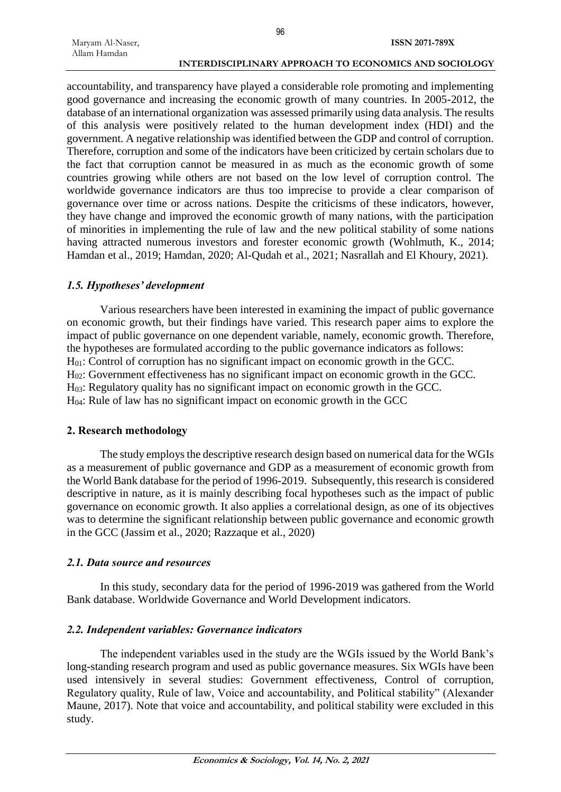accountability, and transparency have played a considerable role promoting and implementing good governance and increasing the economic growth of many countries. In 2005-2012, the database of an international organization was assessed primarily using data analysis. The results of this analysis were positively related to the human development index (HDI) and the government. A negative relationship was identified between the GDP and control of corruption. Therefore, corruption and some of the indicators have been criticized by certain scholars due to the fact that corruption cannot be measured in as much as the economic growth of some countries growing while others are not based on the low level of corruption control. The worldwide governance indicators are thus too imprecise to provide a clear comparison of governance over time or across nations. Despite the criticisms of these indicators, however, they have change and improved the economic growth of many nations, with the participation of minorities in implementing the rule of law and the new political stability of some nations having attracted numerous investors and forester economic growth (Wohlmuth, K., 2014; Hamdan et al., 2019; Hamdan, 2020; Al-Qudah et al., 2021; Nasrallah and El Khoury, 2021).

### *1.5. Hypotheses' development*

Various researchers have been interested in examining the impact of public governance on economic growth, but their findings have varied. This research paper aims to explore the impact of public governance on one dependent variable, namely, economic growth. Therefore, the hypotheses are formulated according to the public governance indicators as follows: H01: Control of corruption has no significant impact on economic growth in the GCC. H02: Government effectiveness has no significant impact on economic growth in the GCC. H03: Regulatory quality has no significant impact on economic growth in the GCC. H04: Rule of law has no significant impact on economic growth in the GCC

## **2. Research methodology**

The study employs the descriptive research design based on numerical data for the WGIs as a measurement of public governance and GDP as a measurement of economic growth from the World Bank database for the period of 1996-2019. Subsequently, this research is considered descriptive in nature, as it is mainly describing focal hypotheses such as the impact of public governance on economic growth. It also applies a correlational design, as one of its objectives was to determine the significant relationship between public governance and economic growth in the GCC (Jassim et al., 2020; Razzaque et al., 2020)

## *2.1. Data source and resources*

In this study, secondary data for the period of 1996-2019 was gathered from the World Bank database. Worldwide Governance and World Development indicators.

## *2.2. Independent variables: Governance indicators*

The independent variables used in the study are the WGIs issued by the World Bank's long-standing research program and used as public governance measures. Six WGIs have been used intensively in several studies: Government effectiveness, Control of corruption, Regulatory quality, Rule of law, Voice and accountability, and Political stability" (Alexander Maune, 2017). Note that voice and accountability, and political stability were excluded in this study.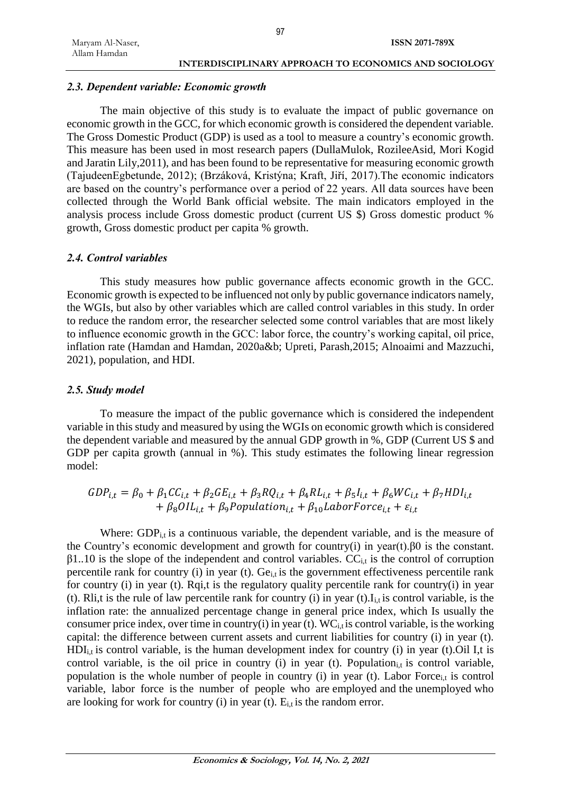### *2.3. Dependent variable: Economic growth*

The main objective of this study is to evaluate the impact of public governance on economic growth in the GCC, for which economic growth is considered the dependent variable. The Gross Domestic Product (GDP) is used as a tool to measure a country's economic growth. This measure has been used in most research papers (DullaMulok, RozileeAsid, Mori Kogid and Jaratin Lily,2011), and has been found to be representative for measuring economic growth (TajudeenEgbetunde, 2012); (Brzáková, Kristýna; Kraft, Jiří, 2017).The economic indicators are based on the country's performance over a period of 22 years. All data sources have been collected through the World Bank official website. The main indicators employed in the analysis process include Gross domestic product (current US \$) Gross domestic product % growth, Gross domestic product per capita % growth.

### *2.4. Control variables*

This study measures how public governance affects economic growth in the GCC. Economic growth is expected to be influenced not only by public governance indicators namely, the WGIs, but also by other variables which are called control variables in this study. In order to reduce the random error, the researcher selected some control variables that are most likely to influence economic growth in the GCC: labor force, the country's working capital, oil price, inflation rate (Hamdan and Hamdan, 2020a&b; Upreti, Parash,2015; Alnoaimi and Mazzuchi, 2021), population, and HDI.

### *2.5. Study model*

To measure the impact of the public governance which is considered the independent variable in this study and measured by using the WGIs on economic growth which is considered the dependent variable and measured by the annual GDP growth in %, GDP (Current US \$ and GDP per capita growth (annual in %). This study estimates the following linear regression model:

$$
GDP_{i,t} = \beta_0 + \beta_1 CC_{i,t} + \beta_2 GE_{i,t} + \beta_3 RQ_{i,t} + \beta_4 R L_{i,t} + \beta_5 I_{i,t} + \beta_6 WC_{i,t} + \beta_7 HDI_{i,t} + \beta_8 OIL_{i,t} + \beta_9 Population_{i,t} + \beta_{10} LaborForce_{i,t} + \varepsilon_{i,t}
$$

Where:  $GDP_{i}$  is a continuous variable, the dependent variable, and is the measure of the Country's economic development and growth for country(i) in year(t).β0 is the constant.  $\beta$ 1..10 is the slope of the independent and control variables. CC<sub>i,t</sub> is the control of corruption percentile rank for country (i) in year (t). Ge<sub>it</sub> is the government effectiveness percentile rank for country (i) in year (t). Rqi,t is the regulatory quality percentile rank for country(i) in year (t). Rli,t is the rule of law percentile rank for country (i) in year (t). $I_{i,t}$  is control variable, is the inflation rate: the annualized percentage change in general price index, which Is usually the consumer price index, over time in country(i) in year (t).  $WC_{i,t}$  is control variable, is the working capital: the difference between current assets and current liabilities for country (i) in year (t).  $HDI<sub>i,t</sub>$  is control variable, is the human development index for country (i) in year (t).Oil I,t is control variable, is the oil price in country (i) in year (t). Population<sub>i,t</sub> is control variable, population is the whole number of people in country (i) in year (t). Labor Force<sub>i,t</sub> is control variable, labor force is the number of people who are employed and the unemployed who are looking for work for country (i) in year (t).  $E_{i,t}$  is the random error.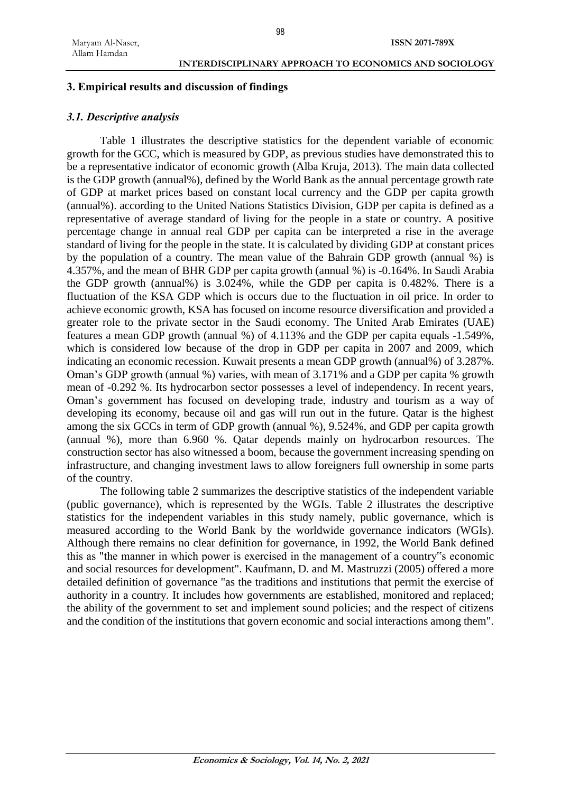## **3. Empirical results and discussion of findings**

### *3.1. Descriptive analysis*

Table 1 illustrates the descriptive statistics for the dependent variable of economic growth for the GCC, which is measured by GDP, as previous studies have demonstrated this to be a representative indicator of economic growth (Alba Kruja, 2013). The main data collected is the GDP growth (annual%), defined by the World Bank as the annual percentage growth rate of GDP at market prices based on constant local currency and the GDP per capita growth (annual%). according to the United Nations Statistics Division, GDP per capita is defined as a representative of average standard of living for the people in a state or country. A positive percentage change in annual real GDP per capita can be interpreted a rise in the average standard of living for the people in the state. It is calculated by dividing GDP at constant prices by the population of a country. The mean value of the Bahrain GDP growth (annual %) is 4.357%, and the mean of BHR GDP per capita growth (annual %) is -0.164%. In Saudi Arabia the GDP growth (annual%) is 3.024%, while the GDP per capita is 0.482%. There is a fluctuation of the KSA GDP which is occurs due to the fluctuation in oil price. In order to achieve economic growth, KSA has focused on income resource diversification and provided a greater role to the private sector in the Saudi economy. The United Arab Emirates (UAE) features a mean GDP growth (annual %) of 4.113% and the GDP per capita equals -1.549%, which is considered low because of the drop in GDP per capita in 2007 and 2009, which indicating an economic recession. Kuwait presents a mean GDP growth (annual%) of 3.287%. Oman's GDP growth (annual %) varies, with mean of 3.171% and a GDP per capita % growth mean of -0.292 %. Its hydrocarbon sector possesses a level of independency. In recent years, Oman's government has focused on developing trade, industry and tourism as a way of developing its economy, because oil and gas will run out in the future. Qatar is the highest among the six GCCs in term of GDP growth (annual %), 9.524%, and GDP per capita growth (annual %), more than 6.960 %. Qatar depends mainly on hydrocarbon resources. The construction sector has also witnessed a boom, because the government increasing spending on infrastructure, and changing investment laws to allow foreigners full ownership in some parts of the country.

The following table 2 summarizes the descriptive statistics of the independent variable (public governance), which is represented by the WGIs. Table 2 illustrates the descriptive statistics for the independent variables in this study namely, public governance, which is measured according to the World Bank by the worldwide governance indicators (WGIs). Although there remains no clear definition for governance, in 1992, the World Bank defined this as "the manner in which power is exercised in the management of a country"s economic and social resources for development". Kaufmann, D. and M. Mastruzzi (2005) offered a more detailed definition of governance "as the traditions and institutions that permit the exercise of authority in a country. It includes how governments are established, monitored and replaced; the ability of the government to set and implement sound policies; and the respect of citizens and the condition of the institutions that govern economic and social interactions among them".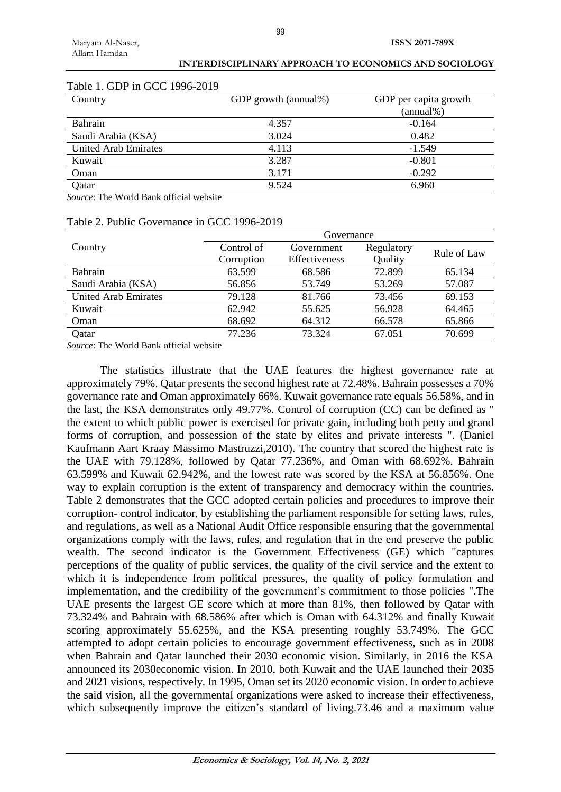| Country                     | GDP growth (annual%) | GDP per capita growth |
|-----------------------------|----------------------|-----------------------|
|                             |                      | $(annual\%)$          |
| <b>Bahrain</b>              | 4.357                | $-0.164$              |
| Saudi Arabia (KSA)          | 3.024                | 0.482                 |
| <b>United Arab Emirates</b> | 4.113                | $-1.549$              |
| Kuwait                      | 3.287                | $-0.801$              |
| Oman                        | 3.171                | $-0.292$              |
| Oatar                       | 9.524                | 6.960                 |

# Table 1. GDP in GCC 1996-2019

*Source*: The World Bank official website

|                             | Governance               |                             |                       |             |  |
|-----------------------------|--------------------------|-----------------------------|-----------------------|-------------|--|
| Country                     | Control of<br>Corruption | Government<br>Effectiveness | Regulatory<br>Quality | Rule of Law |  |
| Bahrain                     | 63.599                   | 68.586                      | 72.899                | 65.134      |  |
| Saudi Arabia (KSA)          | 56.856                   | 53.749                      | 53.269                | 57.087      |  |
| <b>United Arab Emirates</b> | 79.128                   | 81.766                      | 73.456                | 69.153      |  |
| Kuwait                      | 62.942                   | 55.625                      | 56.928                | 64.465      |  |
| Oman                        | 68.692                   | 64.312                      | 66.578                | 65.866      |  |

Qatar 77.236 73.324 67.051 70.699

## $T_{\rm P}$  Public  $T_{\rm C}$   $T_{\rm C}$   $T_{\rm C}$   $T_{\rm C}$   $T_{\rm C}$   $T_{\rm C}$   $T_{\rm C}$   $T_{\rm C}$   $T_{\rm C}$   $T_{\rm C}$   $T_{\rm C}$   $T_{\rm C}$   $T_{\rm C}$   $T_{\rm C}$   $T_{\rm C}$   $T_{\rm C}$   $T_{\rm C}$   $T_{\rm C}$   $T_{\rm C}$   $T_{\rm C}$   $T_{\rm C}$   $T_{\rm C}$   $T_{\rm C}$

*Source*: The World Bank official website

The statistics illustrate that the UAE features the highest governance rate at approximately 79%. Qatar presents the second highest rate at 72.48%. Bahrain possesses a 70% governance rate and Oman approximately 66%. Kuwait governance rate equals 56.58%, and in the last, the KSA demonstrates only 49.77%. Control of corruption (CC) can be defined as " the extent to which public power is exercised for private gain, including both petty and grand forms of corruption, and possession of the state by elites and private interests ". (Daniel Kaufmann Aart Kraay Massimo Mastruzzi,2010). The country that scored the highest rate is the UAE with 79.128%, followed by Qatar 77.236%, and Oman with 68.692%. Bahrain 63.599% and Kuwait 62.942%, and the lowest rate was scored by the KSA at 56.856%. One way to explain corruption is the extent of transparency and democracy within the countries. Table 2 demonstrates that the GCC adopted certain policies and procedures to improve their corruption- control indicator, by establishing the parliament responsible for setting laws, rules, and regulations, as well as a National Audit Office responsible ensuring that the governmental organizations comply with the laws, rules, and regulation that in the end preserve the public wealth. The second indicator is the Government Effectiveness (GE) which "captures perceptions of the quality of public services, the quality of the civil service and the extent to which it is independence from political pressures, the quality of policy formulation and implementation, and the credibility of the government's commitment to those policies ".The UAE presents the largest GE score which at more than 81%, then followed by Qatar with 73.324% and Bahrain with 68.586% after which is Oman with 64.312% and finally Kuwait scoring approximately 55.625%, and the KSA presenting roughly 53.749%. The GCC attempted to adopt certain policies to encourage government effectiveness, such as in 2008 when Bahrain and Qatar launched their 2030 economic vision. Similarly, in 2016 the KSA announced its 2030economic vision. In 2010, both Kuwait and the UAE launched their 2035 and 2021 visions, respectively. In 1995, Oman set its 2020 economic vision. In order to achieve the said vision, all the governmental organizations were asked to increase their effectiveness, which subsequently improve the citizen's standard of living.73.46 and a maximum value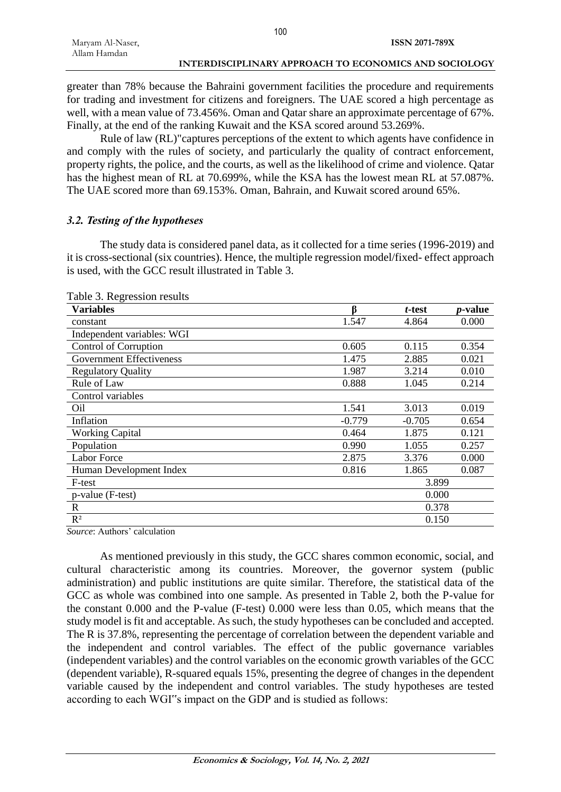|                  | 1 U U                                                 |
|------------------|-------------------------------------------------------|
| Maryam Al-Naser, | ISSN 2071-789X                                        |
| Allam Hamdan     |                                                       |
|                  | INTERDISCIPLINARY APPROACH TO ECONOMICS AND SOCIOLOGY |

greater than 78% because the Bahraini government facilities the procedure and requirements for trading and investment for citizens and foreigners. The UAE scored a high percentage as well, with a mean value of 73.456%. Oman and Qatar share an approximate percentage of 67%. Finally, at the end of the ranking Kuwait and the KSA scored around 53.269%.

Rule of law (RL)"captures perceptions of the extent to which agents have confidence in and comply with the rules of society, and particularly the quality of contract enforcement, property rights, the police, and the courts, as well as the likelihood of crime and violence. Qatar has the highest mean of RL at 70.699%, while the KSA has the lowest mean RL at 57.087%. The UAE scored more than 69.153%. Oman, Bahrain, and Kuwait scored around 65%.

### *3.2. Testing of the hypotheses*

The study data is considered panel data, as it collected for a time series (1996-2019) and it is cross-sectional (six countries). Hence, the multiple regression model/fixed- effect approach is used, with the GCC result illustrated in Table 3.

| ß        | t-test   | <i>p</i> -value |
|----------|----------|-----------------|
| 1.547    | 4.864    | 0.000           |
|          |          |                 |
| 0.605    | 0.115    | 0.354           |
| 1.475    | 2.885    | 0.021           |
| 1.987    | 3.214    | 0.010           |
| 0.888    | 1.045    | 0.214           |
|          |          |                 |
| 1.541    | 3.013    | 0.019           |
| $-0.779$ | $-0.705$ | 0.654           |
| 0.464    | 1.875    | 0.121           |
| 0.990    | 1.055    | 0.257           |
| 2.875    | 3.376    | 0.000           |
| 0.816    | 1.865    | 0.087           |
| 3.899    |          |                 |
| 0.000    |          |                 |
| 0.378    |          |                 |
| 0.150    |          |                 |
|          |          |                 |

Table 3. Regression results

*Source*: Authors' calculation

As mentioned previously in this study, the GCC shares common economic, social, and cultural characteristic among its countries. Moreover, the governor system (public administration) and public institutions are quite similar. Therefore, the statistical data of the GCC as whole was combined into one sample. As presented in Table 2, both the P-value for the constant 0.000 and the P-value (F-test) 0.000 were less than 0.05, which means that the study model is fit and acceptable. As such, the study hypotheses can be concluded and accepted. The R is 37.8%, representing the percentage of correlation between the dependent variable and the independent and control variables. The effect of the public governance variables (independent variables) and the control variables on the economic growth variables of the GCC (dependent variable), R-squared equals 15%, presenting the degree of changes in the dependent variable caused by the independent and control variables. The study hypotheses are tested according to each WGI"s impact on the GDP and is studied as follows: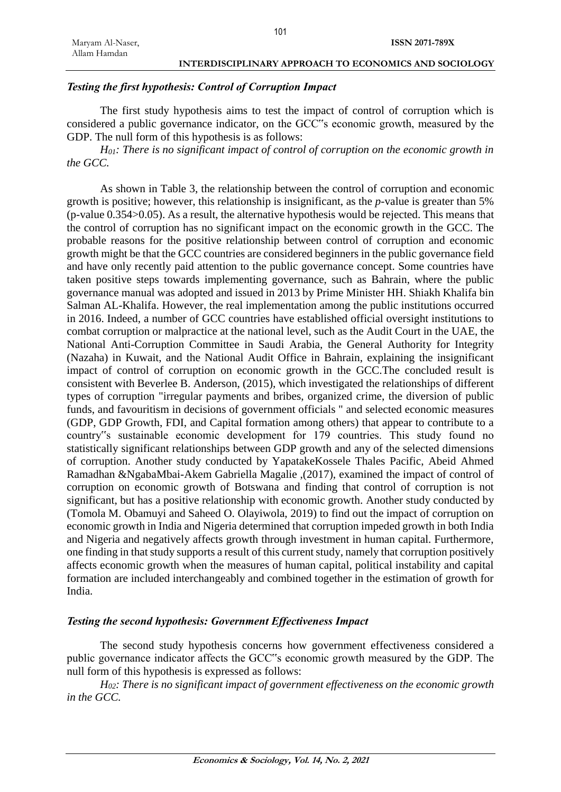### *Testing the first hypothesis: Control of Corruption Impact*

The first study hypothesis aims to test the impact of control of corruption which is considered a public governance indicator, on the GCC"s economic growth, measured by the GDP. The null form of this hypothesis is as follows:

*H01: There is no significant impact of control of corruption on the economic growth in the GCC.*

As shown in Table 3, the relationship between the control of corruption and economic growth is positive; however, this relationship is insignificant, as the *p*-value is greater than 5% (p-value 0.354>0.05). As a result, the alternative hypothesis would be rejected. This means that the control of corruption has no significant impact on the economic growth in the GCC. The probable reasons for the positive relationship between control of corruption and economic growth might be that the GCC countries are considered beginners in the public governance field and have only recently paid attention to the public governance concept. Some countries have taken positive steps towards implementing governance, such as Bahrain, where the public governance manual was adopted and issued in 2013 by Prime Minister HH. Shiakh Khalifa bin Salman AL-Khalifa. However, the real implementation among the public institutions occurred in 2016. Indeed, a number of GCC countries have established official oversight institutions to combat corruption or malpractice at the national level, such as the Audit Court in the UAE, the National Anti-Corruption Committee in Saudi Arabia, the General Authority for Integrity (Nazaha) in Kuwait, and the National Audit Office in Bahrain, explaining the insignificant impact of control of corruption on economic growth in the GCC.The concluded result is consistent with Beverlee B. Anderson, (2015), which investigated the relationships of different types of corruption "irregular payments and bribes, organized crime, the diversion of public funds, and favouritism in decisions of government officials " and selected economic measures (GDP, GDP Growth, FDI, and Capital formation among others) that appear to contribute to a country"s sustainable economic development for 179 countries. This study found no statistically significant relationships between GDP growth and any of the selected dimensions of corruption. Another study conducted by YapatakeKossele Thales Pacific, Abeid Ahmed Ramadhan &NgabaMbai-Akem Gabriella Magalie ,(2017), examined the impact of control of corruption on economic growth of Botswana and finding that control of corruption is not significant, but has a positive relationship with economic growth. Another study conducted by (Tomola M. Obamuyi and Saheed O. Olayiwola, 2019) to find out the impact of corruption on economic growth in India and Nigeria determined that corruption impeded growth in both India and Nigeria and negatively affects growth through investment in human capital. Furthermore, one finding in that study supports a result of this current study, namely that corruption positively affects economic growth when the measures of human capital, political instability and capital formation are included interchangeably and combined together in the estimation of growth for India.

#### *Testing the second hypothesis: Government Effectiveness Impact*

The second study hypothesis concerns how government effectiveness considered a public governance indicator affects the GCC"s economic growth measured by the GDP. The null form of this hypothesis is expressed as follows:

*H02: There is no significant impact of government effectiveness on the economic growth in the GCC.*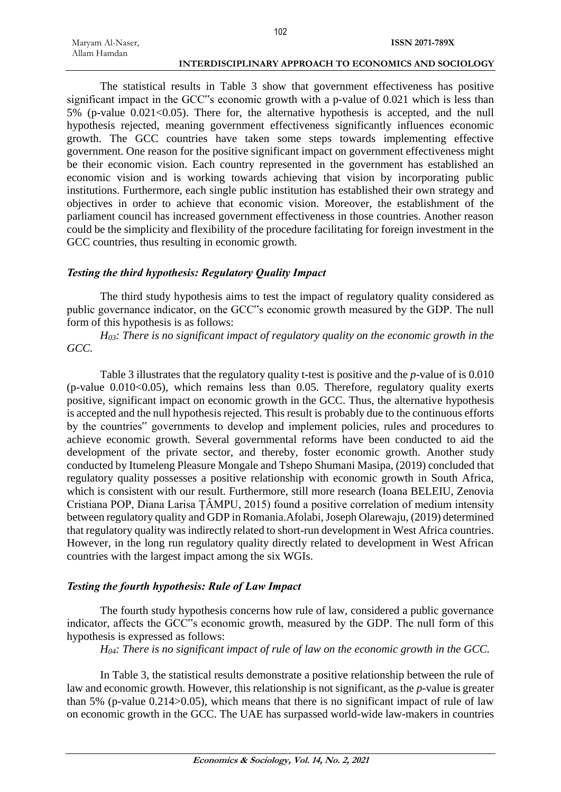The statistical results in Table 3 show that government effectiveness has positive significant impact in the GCC"s economic growth with a p-value of 0.021 which is less than  $5\%$  (p-value  $0.021 \le 0.05$ ). There for, the alternative hypothesis is accepted, and the null hypothesis rejected, meaning government effectiveness significantly influences economic growth. The GCC countries have taken some steps towards implementing effective government. One reason for the positive significant impact on government effectiveness might be their economic vision. Each country represented in the government has established an economic vision and is working towards achieving that vision by incorporating public institutions. Furthermore, each single public institution has established their own strategy and objectives in order to achieve that economic vision. Moreover, the establishment of the parliament council has increased government effectiveness in those countries. Another reason could be the simplicity and flexibility of the procedure facilitating for foreign investment in the GCC countries, thus resulting in economic growth.

# *Testing the third hypothesis: Regulatory Quality Impact*

The third study hypothesis aims to test the impact of regulatory quality considered as public governance indicator, on the GCC"s economic growth measured by the GDP. The null form of this hypothesis is as follows:

*H03: There is no significant impact of regulatory quality on the economic growth in the GCC.*

Table 3 illustrates that the regulatory quality t-test is positive and the *p*-value of is 0.010  $(p-value 0.010<0.05)$ , which remains less than 0.05. Therefore, regulatory quality exerts positive, significant impact on economic growth in the GCC. Thus, the alternative hypothesis is accepted and the null hypothesis rejected. This result is probably due to the continuous efforts by the countries" governments to develop and implement policies, rules and procedures to achieve economic growth. Several governmental reforms have been conducted to aid the development of the private sector, and thereby, foster economic growth. Another study conducted by Itumeleng Pleasure Mongale and Tshepo Shumani Masipa, (2019) concluded that regulatory quality possesses a positive relationship with economic growth in South Africa, which is consistent with our result. Furthermore, still more research (Ioana BELEIU, Zenovia Cristiana POP, Diana Larisa ȚÂMPU, 2015) found a positive correlation of medium intensity between regulatory quality and GDP in Romania.Afolabi, Joseph Olarewaju, (2019) determined that regulatory quality was indirectly related to short-run development in West Africa countries. However, in the long run regulatory quality directly related to development in West African countries with the largest impact among the six WGIs.

# *Testing the fourth hypothesis: Rule of Law Impact*

The fourth study hypothesis concerns how rule of law, considered a public governance indicator, affects the GCC"s economic growth, measured by the GDP. The null form of this hypothesis is expressed as follows:

*H04: There is no significant impact of rule of law on the economic growth in the GCC.*

In Table 3, the statistical results demonstrate a positive relationship between the rule of law and economic growth. However, this relationship is not significant, as the *p*-value is greater than 5% (p-value 0.214>0.05), which means that there is no significant impact of rule of law on economic growth in the GCC. The UAE has surpassed world-wide law-makers in countries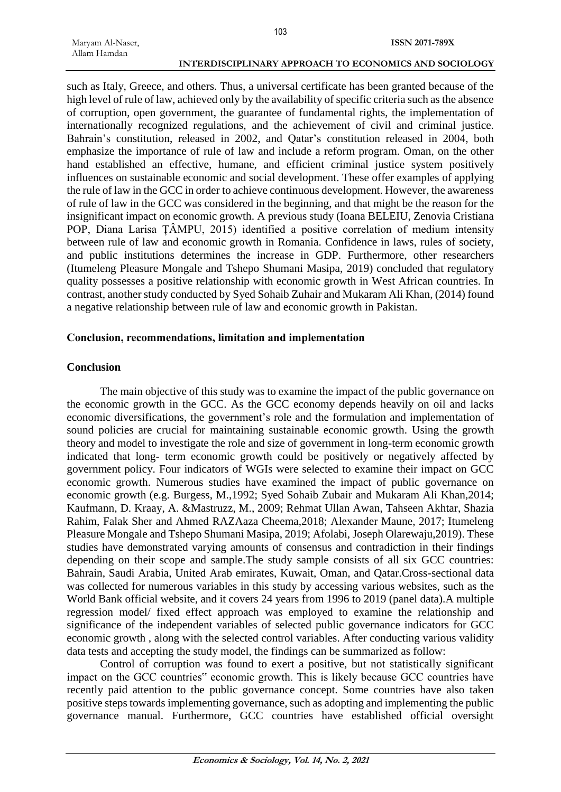such as Italy, Greece, and others. Thus, a universal certificate has been granted because of the high level of rule of law, achieved only by the availability of specific criteria such as the absence of corruption, open government, the guarantee of fundamental rights, the implementation of internationally recognized regulations, and the achievement of civil and criminal justice. Bahrain's constitution, released in 2002, and Qatar's constitution released in 2004, both emphasize the importance of rule of law and include a reform program. Oman, on the other hand established an effective, humane, and efficient criminal justice system positively influences on sustainable economic and social development. These offer examples of applying the rule of law in the GCC in order to achieve continuous development. However, the awareness of rule of law in the GCC was considered in the beginning, and that might be the reason for the insignificant impact on economic growth. A previous study (Ioana BELEIU, Zenovia Cristiana POP, Diana Larisa ȚÂMPU, 2015) identified a positive correlation of medium intensity between rule of law and economic growth in Romania. Confidence in laws, rules of society, and public institutions determines the increase in GDP. Furthermore, other researchers (Itumeleng Pleasure Mongale and Tshepo Shumani Masipa, 2019) concluded that regulatory quality possesses a positive relationship with economic growth in West African countries. In contrast, another study conducted by Syed Sohaib Zuhair and Mukaram Ali Khan, (2014) found a negative relationship between rule of law and economic growth in Pakistan.

#### **Conclusion, recommendations, limitation and implementation**

#### **Conclusion**

The main objective of this study was to examine the impact of the public governance on the economic growth in the GCC. As the GCC economy depends heavily on oil and lacks economic diversifications, the government's role and the formulation and implementation of sound policies are crucial for maintaining sustainable economic growth. Using the growth theory and model to investigate the role and size of government in long-term economic growth indicated that long- term economic growth could be positively or negatively affected by government policy. Four indicators of WGIs were selected to examine their impact on GCC economic growth. Numerous studies have examined the impact of public governance on economic growth (e.g. Burgess, M.,1992; Syed Sohaib Zubair and Mukaram Ali Khan,2014; Kaufmann, D. Kraay, A. &Mastruzz, M., 2009; Rehmat Ullan Awan, Tahseen Akhtar, Shazia Rahim, Falak Sher and Ahmed RAZAaza Cheema,2018; Alexander Maune, 2017; Itumeleng Pleasure Mongale and Tshepo Shumani Masipa, 2019; Afolabi, Joseph Olarewaju,2019). These studies have demonstrated varying amounts of consensus and contradiction in their findings depending on their scope and sample.The study sample consists of all six GCC countries: Bahrain, Saudi Arabia, United Arab emirates, Kuwait, Oman, and Qatar.Cross-sectional data was collected for numerous variables in this study by accessing various websites, such as the World Bank official website, and it covers 24 years from 1996 to 2019 (panel data).A multiple regression model/ fixed effect approach was employed to examine the relationship and significance of the independent variables of selected public governance indicators for GCC economic growth , along with the selected control variables. After conducting various validity data tests and accepting the study model, the findings can be summarized as follow:

Control of corruption was found to exert a positive, but not statistically significant impact on the GCC countries" economic growth. This is likely because GCC countries have recently paid attention to the public governance concept. Some countries have also taken positive steps towards implementing governance, such as adopting and implementing the public governance manual. Furthermore, GCC countries have established official oversight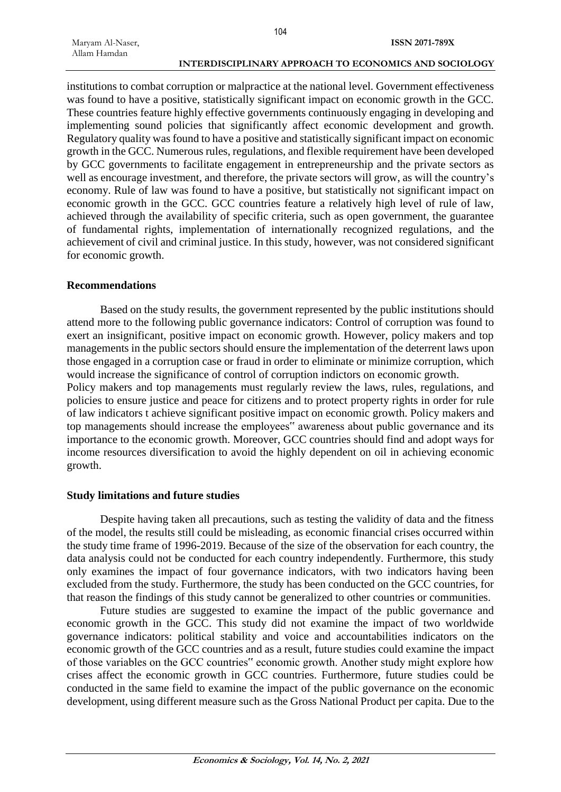institutions to combat corruption or malpractice at the national level. Government effectiveness was found to have a positive, statistically significant impact on economic growth in the GCC. These countries feature highly effective governments continuously engaging in developing and implementing sound policies that significantly affect economic development and growth. Regulatory quality was found to have a positive and statistically significant impact on economic growth in the GCC. Numerous rules, regulations, and flexible requirement have been developed by GCC governments to facilitate engagement in entrepreneurship and the private sectors as well as encourage investment, and therefore, the private sectors will grow, as will the country's economy. Rule of law was found to have a positive, but statistically not significant impact on economic growth in the GCC. GCC countries feature a relatively high level of rule of law, achieved through the availability of specific criteria, such as open government, the guarantee of fundamental rights, implementation of internationally recognized regulations, and the achievement of civil and criminal justice. In this study, however, was not considered significant for economic growth.

#### **Recommendations**

Based on the study results, the government represented by the public institutions should attend more to the following public governance indicators: Control of corruption was found to exert an insignificant, positive impact on economic growth. However, policy makers and top managements in the public sectors should ensure the implementation of the deterrent laws upon those engaged in a corruption case or fraud in order to eliminate or minimize corruption, which would increase the significance of control of corruption indictors on economic growth.

Policy makers and top managements must regularly review the laws, rules, regulations, and policies to ensure justice and peace for citizens and to protect property rights in order for rule of law indicators t achieve significant positive impact on economic growth. Policy makers and top managements should increase the employees" awareness about public governance and its importance to the economic growth. Moreover, GCC countries should find and adopt ways for income resources diversification to avoid the highly dependent on oil in achieving economic growth.

#### **Study limitations and future studies**

Despite having taken all precautions, such as testing the validity of data and the fitness of the model, the results still could be misleading, as economic financial crises occurred within the study time frame of 1996-2019. Because of the size of the observation for each country, the data analysis could not be conducted for each country independently. Furthermore, this study only examines the impact of four governance indicators, with two indicators having been excluded from the study. Furthermore, the study has been conducted on the GCC countries, for that reason the findings of this study cannot be generalized to other countries or communities.

Future studies are suggested to examine the impact of the public governance and economic growth in the GCC. This study did not examine the impact of two worldwide governance indicators: political stability and voice and accountabilities indicators on the economic growth of the GCC countries and as a result, future studies could examine the impact of those variables on the GCC countries" economic growth. Another study might explore how crises affect the economic growth in GCC countries. Furthermore, future studies could be conducted in the same field to examine the impact of the public governance on the economic development, using different measure such as the Gross National Product per capita. Due to the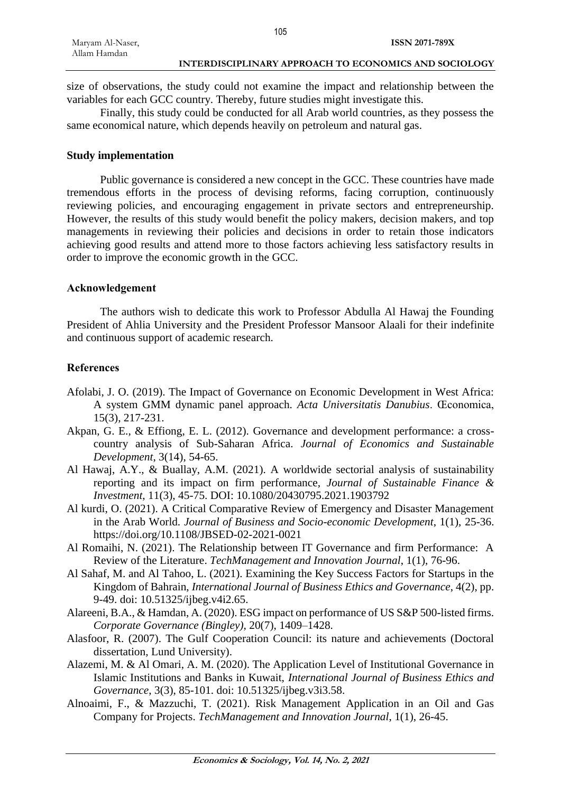| Maryam Al-Naser, |  |
|------------------|--|
| Allam Hamdan     |  |

size of observations, the study could not examine the impact and relationship between the variables for each GCC country. Thereby, future studies might investigate this.

105

Finally, this study could be conducted for all Arab world countries, as they possess the same economical nature, which depends heavily on petroleum and natural gas.

### **Study implementation**

Public governance is considered a new concept in the GCC. These countries have made tremendous efforts in the process of devising reforms, facing corruption, continuously reviewing policies, and encouraging engagement in private sectors and entrepreneurship. However, the results of this study would benefit the policy makers, decision makers, and top managements in reviewing their policies and decisions in order to retain those indicators achieving good results and attend more to those factors achieving less satisfactory results in order to improve the economic growth in the GCC.

### **Acknowledgement**

The authors wish to dedicate this work to Professor Abdulla Al Hawaj the Founding President of Ahlia University and the President Professor Mansoor Alaali for their indefinite and continuous support of academic research.

## **References**

- Afolabi, J. O. (2019). The Impact of Governance on Economic Development in West Africa: A system GMM dynamic panel approach. *Acta Universitatis Danubius*. Œconomica, 15(3), 217-231.
- Akpan, G. E., & Effiong, E. L. (2012). Governance and development performance: a crosscountry analysis of Sub-Saharan Africa. *Journal of Economics and Sustainable Development*, 3(14), 54-65.
- Al Hawaj, A.Y., & Buallay, A.M. (2021). A worldwide sectorial analysis of sustainability reporting and its impact on firm performance*, Journal of Sustainable Finance & Investment*, 11(3), 45-75. DOI: 10.1080/20430795.2021.1903792
- Al kurdi, O. (2021). A Critical Comparative Review of Emergency and Disaster Management in the Arab World*. Journal of Business and Socio-economic Development*, 1(1), 25-36. https://doi.org/10.1108/JBSED-02-2021-0021
- Al Romaihi, N. (2021). The Relationship between IT Governance and firm Performance: A Review of the Literature. *TechManagement and Innovation Journal*, 1(1), 76-96.
- Al Sahaf, M. and Al Tahoo, L. (2021). Examining the Key Success Factors for Startups in the Kingdom of Bahrain, *International Journal of Business Ethics and Governance*, 4(2), pp. 9-49. doi: 10.51325/ijbeg.v4i2.65.
- Alareeni, B.A., & Hamdan, A. (2020). ESG impact on performance of US S&P 500-listed firms. *Corporate Governance (Bingley)*, 20(7), 1409–1428.
- Alasfoor, R. (2007). The Gulf Cooperation Council: its nature and achievements (Doctoral dissertation, Lund University).
- Alazemi, M. & Al Omari, A. M. (2020). The Application Level of Institutional Governance in Islamic Institutions and Banks in Kuwait, *International Journal of Business Ethics and Governance*, 3(3), 85-101. doi: 10.51325/ijbeg.v3i3.58.
- Alnoaimi, F., & Mazzuchi, T. (2021). Risk Management Application in an Oil and Gas Company for Projects. *TechManagement and Innovation Journal*, 1(1), 26-45.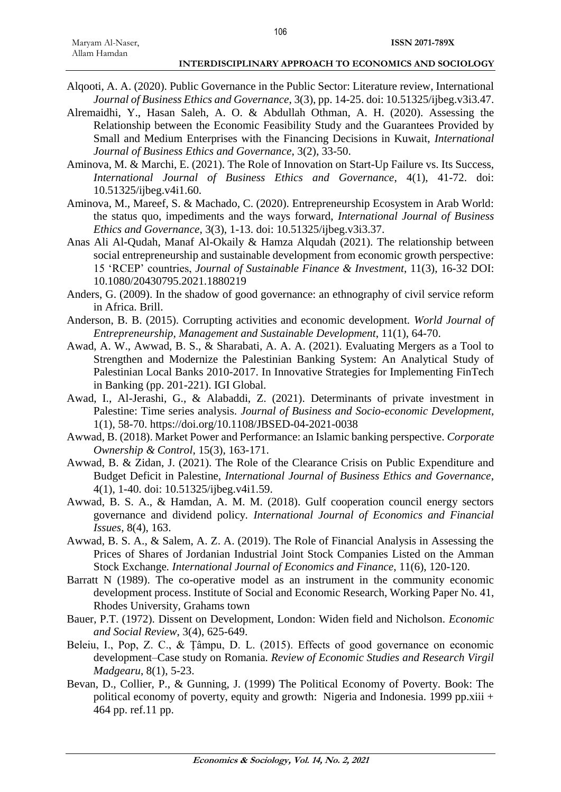- Alqooti, A. A. (2020). Public Governance in the Public Sector: Literature review, International *Journal of Business Ethics and Governance*, 3(3), pp. 14-25. doi: 10.51325/ijbeg.v3i3.47.
- Alremaidhi, Y., Hasan Saleh, A. O. & Abdullah Othman, A. H. (2020). Assessing the Relationship between the Economic Feasibility Study and the Guarantees Provided by Small and Medium Enterprises with the Financing Decisions in Kuwait, *International Journal of Business Ethics and Governance*, 3(2), 33-50.
- Aminova, M. & Marchi, E. (2021). The Role of Innovation on Start-Up Failure vs. Its Success, *International Journal of Business Ethics and Governance*, 4(1), 41-72. doi: 10.51325/ijbeg.v4i1.60.
- Aminova, M., Mareef, S. & Machado, C. (2020). Entrepreneurship Ecosystem in Arab World: the status quo, impediments and the ways forward, *International Journal of Business Ethics and Governance*, 3(3), 1-13. doi: 10.51325/ijbeg.v3i3.37.
- Anas Ali Al-Qudah, Manaf Al-Okaily & Hamza Alqudah (2021). The relationship between social entrepreneurship and sustainable development from economic growth perspective: 15 'RCEP' countries, *Journal of Sustainable Finance & Investment*, 11(3), 16-32 DOI: 10.1080/20430795.2021.1880219
- Anders, G. (2009). In the shadow of good governance: an ethnography of civil service reform in Africa. Brill.
- Anderson, B. B. (2015). Corrupting activities and economic development. *World Journal of Entrepreneurship, Management and Sustainable Development*, 11(1), 64-70.
- Awad, A. W., Awwad, B. S., & Sharabati, A. A. A. (2021). Evaluating Mergers as a Tool to Strengthen and Modernize the Palestinian Banking System: An Analytical Study of Palestinian Local Banks 2010-2017. In Innovative Strategies for Implementing FinTech in Banking (pp. 201-221). IGI Global.
- Awad, I., Al-Jerashi, G., & Alabaddi, Z. (2021). Determinants of private investment in Palestine: Time series analysis. *Journal of Business and Socio-economic Development*, 1(1), 58-70. https://doi.org/10.1108/JBSED-04-2021-0038
- Awwad, B. (2018). Market Power and Performance: an Islamic banking perspective. *Corporate Ownership & Control*, 15(3), 163-171.
- Awwad, B. & Zidan, J. (2021). The Role of the Clearance Crisis on Public Expenditure and Budget Deficit in Palestine, *International Journal of Business Ethics and Governance*, 4(1), 1-40. doi: 10.51325/ijbeg.v4i1.59.
- Awwad, B. S. A., & Hamdan, A. M. M. (2018). Gulf cooperation council energy sectors governance and dividend policy*. International Journal of Economics and Financial Issues*, 8(4), 163.
- Awwad, B. S. A., & Salem, A. Z. A. (2019). The Role of Financial Analysis in Assessing the Prices of Shares of Jordanian Industrial Joint Stock Companies Listed on the Amman Stock Exchange*. International Journal of Economics and Finance*, 11(6), 120-120.
- Barratt N (1989). The co-operative model as an instrument in the community economic development process. Institute of Social and Economic Research, Working Paper No. 41, Rhodes University, Grahams town
- Bauer, P.T. (1972). Dissent on Development, London: Widen field and Nicholson. *Economic and Social Review*, 3(4), 625-649.
- Beleiu, I., Pop, Z. C., & Țâmpu, D. L. (2015). Effects of good governance on economic development–Case study on Romania. *Review of Economic Studies and Research Virgil Madgearu*, 8(1), 5-23.
- Bevan, D., Collier, P., & Gunning, J. (1999) The Political Economy of Poverty. Book: The political economy of poverty, equity and growth: Nigeria and Indonesia. 1999 pp.xiii + 464 pp. ref.11 pp.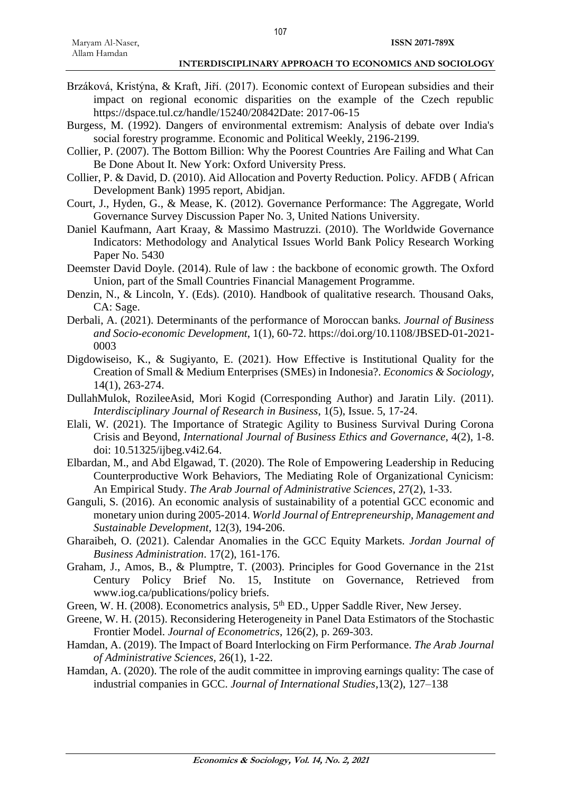- Brzáková, Kristýna, & Kraft, Jiří. (2017). Economic context of European subsidies and their impact on regional economic disparities on the example of the Czech republic https://dspace.tul.cz/handle/15240/20842Date: 2017-06-15
- Burgess, M. (1992). Dangers of environmental extremism: Analysis of debate over India's social forestry programme. Economic and Political Weekly, 2196-2199.
- Collier, P. (2007). The Bottom Billion: Why the Poorest Countries Are Failing and What Can Be Done About It. New York: Oxford University Press.
- Collier, P. & David, D. (2010). Aid Allocation and Poverty Reduction. Policy. AFDB ( African Development Bank) 1995 report, Abidjan.
- Court, J., Hyden, G., & Mease, K. (2012). Governance Performance: The Aggregate, World Governance Survey Discussion Paper No. 3, United Nations University.
- Daniel Kaufmann, Aart Kraay, & Massimo Mastruzzi. (2010). The Worldwide Governance Indicators: Methodology and Analytical Issues World Bank Policy Research Working Paper No. 5430
- Deemster David Doyle. (2014). Rule of law : the backbone of economic growth. The Oxford Union, part of the Small Countries Financial Management Programme.
- Denzin, N., & Lincoln, Y. (Eds). (2010). Handbook of qualitative research. Thousand Oaks, CA: Sage.
- Derbali, A. (2021). Determinants of the performance of Moroccan banks*. Journal of Business and Socio-economic Development*, 1(1), 60-72. https://doi.org/10.1108/JBSED-01-2021- 0003
- Digdowiseiso, K., & Sugiyanto, E. (2021). How Effective is Institutional Quality for the Creation of Small & Medium Enterprises (SMEs) in Indonesia?. *Economics & Sociology*, 14(1), 263-274.
- DullahMulok, RozileeAsid, Mori Kogid (Corresponding Author) and Jaratin Lily. (2011). *Interdisciplinary Journal of Research in Business*, 1(5), Issue. 5, 17-24.
- Elali, W. (2021). The Importance of Strategic Agility to Business Survival During Corona Crisis and Beyond, *International Journal of Business Ethics and Governance*, 4(2), 1-8. doi: 10.51325/ijbeg.v4i2.64.
- Elbardan, M., and Abd Elgawad, T. (2020). The Role of Empowering Leadership in Reducing Counterproductive Work Behaviors, The Mediating Role of Organizational Cynicism: An Empirical Study. *The Arab Journal of Administrative Sciences*, 27(2), 1-33.
- Ganguli, S. (2016). An economic analysis of sustainability of a potential GCC economic and monetary union during 2005-2014. *World Journal of Entrepreneurship, Management and Sustainable Development*, 12(3), 194-206.
- Gharaibeh, O. (2021). Calendar Anomalies in the GCC Equity Markets. *Jordan Journal of Business Administration*. 17(2), 161-176.
- Graham, J., Amos, B., & Plumptre, T. (2003). Principles for Good Governance in the 21st Century Policy Brief No. 15, Institute on Governance, Retrieved from www.iog.ca/publications/policy briefs.
- Green, W. H. (2008). Econometrics analysis, 5<sup>th</sup> ED., Upper Saddle River, New Jersey.
- Greene, W. H. (2015). Reconsidering Heterogeneity in Panel Data Estimators of the Stochastic Frontier Model. *Journal of Econometrics*, 126(2), p. 269-303.
- Hamdan, A. (2019). The Impact of Board Interlocking on Firm Performance. *The Arab Journal of Administrative Sciences,* 26(1), 1-22.
- Hamdan, A. (2020). The role of the audit committee in improving earnings quality: The case of industrial companies in GCC. *Journal of International Studies*,13(2), 127–138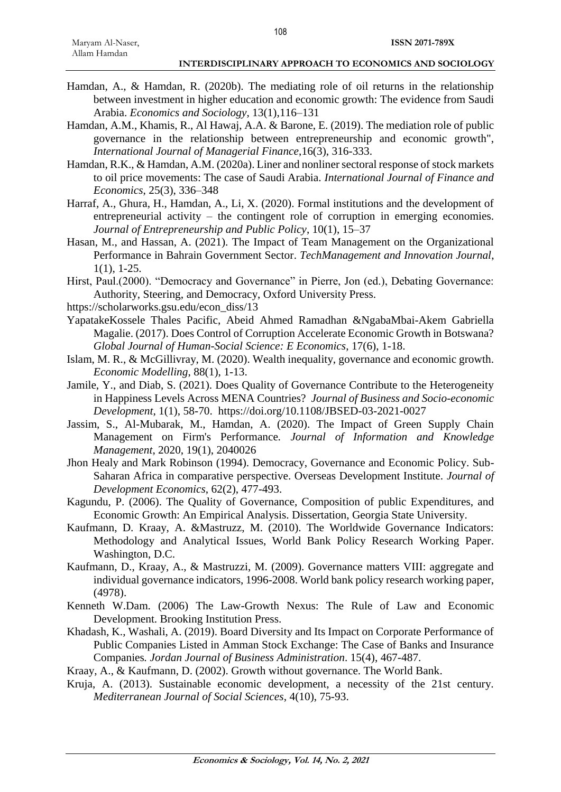Hamdan, A., & Hamdan, R. (2020b). The mediating role of oil returns in the relationship between investment in higher education and economic growth: The evidence from Saudi Arabia. *Economics and Sociology*, 13(1),116–131

108

- Hamdan, A.M., Khamis, R., Al Hawaj, A.A. & Barone, E. (2019). The mediation role of public governance in the relationship between entrepreneurship and economic growth", *International Journal of Managerial Finance*,16(3), 316-333.
- Hamdan, R.K., & Hamdan, A.M. (2020a). Liner and nonliner sectoral response of stock markets to oil price movements: The case of Saudi Arabia. *International Journal of Finance and Economics*, 25(3), 336–348
- Harraf, A., Ghura, H., Hamdan, A., Li, X. (2020). Formal institutions and the development of entrepreneurial activity – the contingent role of corruption in emerging economies. *Journal of Entrepreneurship and Public Policy*, 10(1), 15–37
- Hasan, M., and Hassan, A. (2021). The Impact of Team Management on the Organizational Performance in Bahrain Government Sector. *TechManagement and Innovation Journal*, 1(1), 1-25.
- Hirst, Paul.(2000). "Democracy and Governance" in Pierre, Jon (ed.), Debating Governance: Authority, Steering, and Democracy, Oxford University Press.
- https://scholarworks.gsu.edu/econ\_diss/13
- YapatakeKossele Thales Pacific, Abeid Ahmed Ramadhan &NgabaMbai-Akem Gabriella Magalie. (2017). Does Control of Corruption Accelerate Economic Growth in Botswana? *Global Journal of Human-Social Science: E Economics*, 17(6), 1-18.
- Islam, M. R., & McGillivray, M. (2020). Wealth inequality, governance and economic growth. *Economic Modelling*, 88(1), 1-13.
- Jamile, Y., and Diab, S. (2021). Does Quality of Governance Contribute to the Heterogeneity in Happiness Levels Across MENA Countries? *Journal of Business and Socio-economic Development*, 1(1), 58-70. https://doi.org/10.1108/JBSED-03-2021-0027
- Jassim, S., Al-Mubarak, M., Hamdan, A. (2020). The Impact of Green Supply Chain Management on Firm's Performance*. Journal of Information and Knowledge Management*, 2020, 19(1), 2040026
- Jhon Healy and Mark Robinson (1994). Democracy, Governance and Economic Policy. Sub-Saharan Africa in comparative perspective. Overseas Development Institute. *Journal of Development Economics*, 62(2), 477-493.
- Kagundu, P. (2006). The Quality of Governance, Composition of public Expenditures, and Economic Growth: An Empirical Analysis. Dissertation, Georgia State University.
- Kaufmann, D. Kraay, A. &Mastruzz, M. (2010). The Worldwide Governance Indicators: Methodology and Analytical Issues, World Bank Policy Research Working Paper. Washington, D.C.
- Kaufmann, D., Kraay, A., & Mastruzzi, M. (2009). Governance matters VIII: aggregate and individual governance indicators, 1996-2008. World bank policy research working paper, (4978).
- Kenneth W.Dam. (2006) The Law-Growth Nexus: The Rule of Law and Economic Development. Brooking Institution Press.
- Khadash, K., Washali, A. (2019). Board Diversity and Its Impact on Corporate Performance of Public Companies Listed in Amman Stock Exchange: The Case of Banks and Insurance Companies*. Jordan Journal of Business Administration*. 15(4), 467-487.
- Kraay, A., & Kaufmann, D. (2002). Growth without governance. The World Bank.
- Kruja, A. (2013). Sustainable economic development, a necessity of the 21st century. *Mediterranean Journal of Social Sciences*, 4(10), 75-93.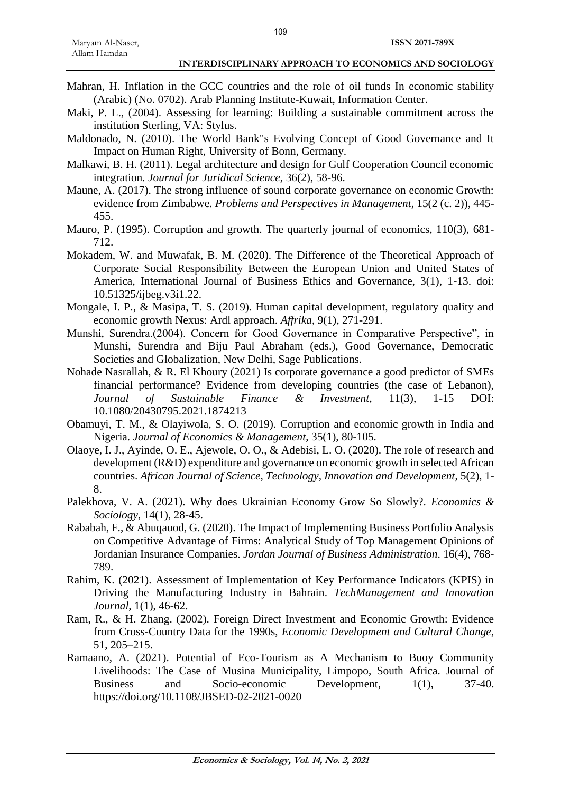- Mahran, H. Inflation in the GCC countries and the role of oil funds In economic stability (Arabic) (No. 0702). Arab Planning Institute-Kuwait, Information Center.
- Maki, P. L., (2004). Assessing for learning: Building a sustainable commitment across the institution Sterling, VA: Stylus.
- Maldonado, N. (2010). The World Bank"s Evolving Concept of Good Governance and It Impact on Human Right, University of Bonn, Germany.
- Malkawi, B. H. (2011). Legal architecture and design for Gulf Cooperation Council economic integration*. Journal for Juridical Science*, 36(2), 58-96.
- Maune, A. (2017). The strong influence of sound corporate governance on economic Growth: evidence from Zimbabwe*. Problems and Perspectives in Management*, 15(2 (c. 2)), 445- 455.
- Mauro, P. (1995). Corruption and growth. The quarterly journal of economics, 110(3), 681-712.
- Mokadem, W. and Muwafak, B. M. (2020). The Difference of the Theoretical Approach of Corporate Social Responsibility Between the European Union and United States of America, International Journal of Business Ethics and Governance, 3(1), 1-13. doi: 10.51325/ijbeg.v3i1.22.
- Mongale, I. P., & Masipa, T. S. (2019). Human capital development, regulatory quality and economic growth Nexus: Ardl approach. *Affrika*, 9(1), 271-291.
- Munshi, Surendra.(2004). Concern for Good Governance in Comparative Perspective", in Munshi, Surendra and Biju Paul Abraham (eds.), Good Governance, Democratic Societies and Globalization, New Delhi, Sage Publications.
- Nohade Nasrallah, & R. El Khoury (2021) Is corporate governance a good predictor of SMEs financial performance? Evidence from developing countries (the case of Lebanon), *Journal of Sustainable Finance & Investment*, 11(3), 1-15 DOI: 10.1080/20430795.2021.1874213
- Obamuyi, T. M., & Olayiwola, S. O. (2019). Corruption and economic growth in India and Nigeria. *Journal of Economics & Management*, 35(1), 80-105.
- Olaoye, I. J., Ayinde, O. E., Ajewole, O. O., & Adebisi, L. O. (2020). The role of research and development (R&D) expenditure and governance on economic growth in selected African countries. *African Journal of Science, Technology, Innovation and Development*, 5(2), 1- 8.
- Palekhova, V. A. (2021). Why does Ukrainian Economy Grow So Slowly?. *Economics & Sociology*, 14(1), 28-45.
- Rababah, F., & Abuqauod, G. (2020). The Impact of Implementing Business Portfolio Analysis on Competitive Advantage of Firms: Analytical Study of Top Management Opinions of Jordanian Insurance Companies. *Jordan Journal of Business Administration*. 16(4), 768- 789.
- Rahim, K. (2021). Assessment of Implementation of Key Performance Indicators (KPIS) in Driving the Manufacturing Industry in Bahrain. *TechManagement and Innovation Journal*, 1(1), 46-62.
- Ram, R., & H. Zhang. (2002). Foreign Direct Investment and Economic Growth: Evidence from Cross-Country Data for the 1990s, *Economic Development and Cultural Change*, 51, 205–215.
- Ramaano, A. (2021). Potential of Eco-Tourism as A Mechanism to Buoy Community Livelihoods: The Case of Musina Municipality, Limpopo, South Africa. Journal of Business and Socio-economic Development, 1(1), 37-40. https://doi.org/10.1108/JBSED-02-2021-0020